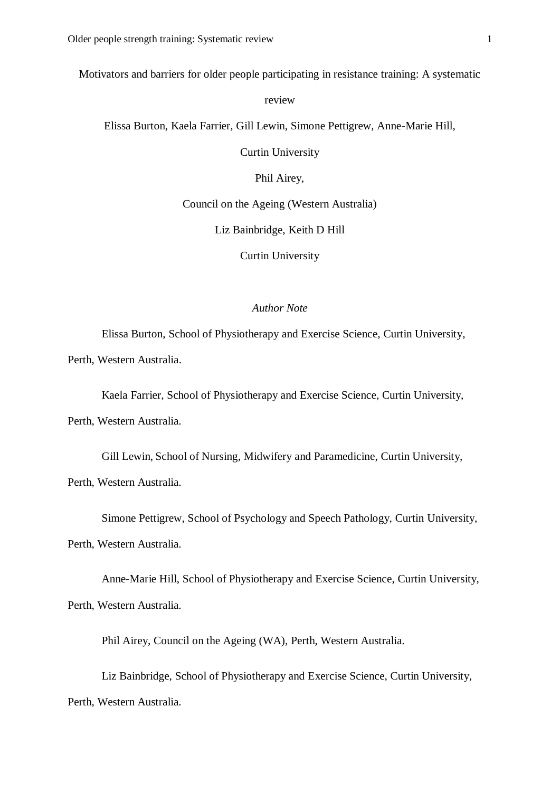Motivators and barriers for older people participating in resistance training: A systematic

review

Elissa Burton, Kaela Farrier, Gill Lewin, Simone Pettigrew, Anne-Marie Hill,

Curtin University

Phil Airey,

Council on the Ageing (Western Australia)

Liz Bainbridge, Keith D Hill

Curtin University

### *Author Note*

Elissa Burton, School of Physiotherapy and Exercise Science, Curtin University,

Perth, Western Australia.

Kaela Farrier, School of Physiotherapy and Exercise Science, Curtin University,

Perth, Western Australia.

Gill Lewin, School of Nursing, Midwifery and Paramedicine, Curtin University,

Perth, Western Australia.

Simone Pettigrew, School of Psychology and Speech Pathology, Curtin University,

Perth, Western Australia.

Anne-Marie Hill, School of Physiotherapy and Exercise Science, Curtin University,

Perth, Western Australia.

Phil Airey, Council on the Ageing (WA), Perth, Western Australia.

Liz Bainbridge, School of Physiotherapy and Exercise Science, Curtin University, Perth, Western Australia.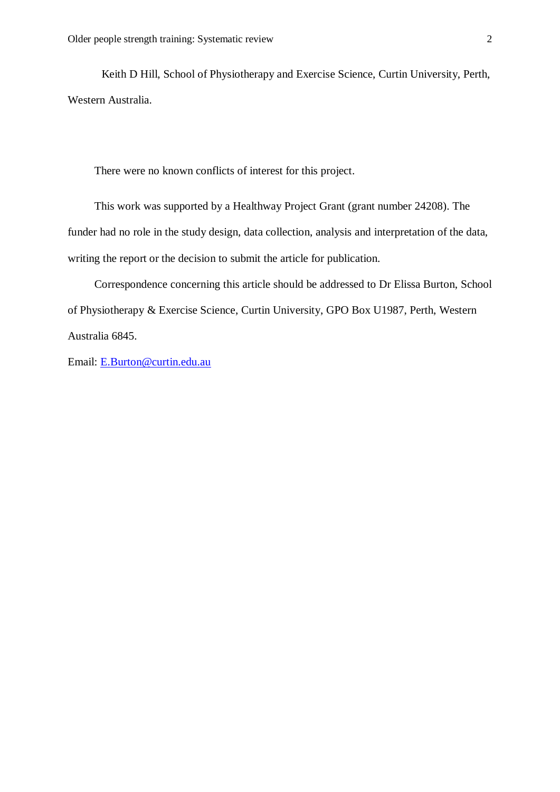Keith D Hill, School of Physiotherapy and Exercise Science, Curtin University, Perth, Western Australia.

There were no known conflicts of interest for this project.

This work was supported by a Healthway Project Grant (grant number 24208). The funder had no role in the study design, data collection, analysis and interpretation of the data, writing the report or the decision to submit the article for publication.

Correspondence concerning this article should be addressed to Dr Elissa Burton, School of Physiotherapy & Exercise Science, Curtin University, GPO Box U1987, Perth, Western Australia 6845.

Email: [E.Burton@curtin.edu.au](mailto:E.Burton@curtin.edu.au)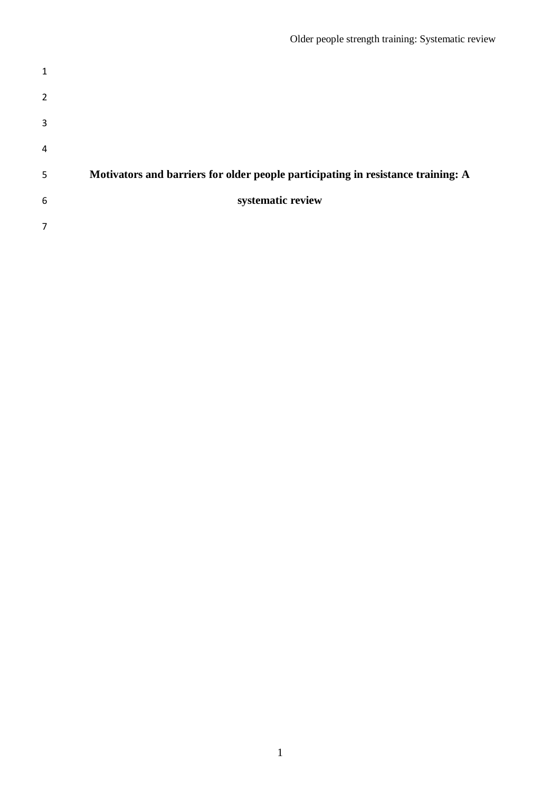| $\mathbf{1}$   |                                                                                  |
|----------------|----------------------------------------------------------------------------------|
| $\overline{2}$ |                                                                                  |
| 3              |                                                                                  |
| $\overline{4}$ |                                                                                  |
| 5              | Motivators and barriers for older people participating in resistance training: A |
| 6              | systematic review                                                                |
| 7              |                                                                                  |
|                |                                                                                  |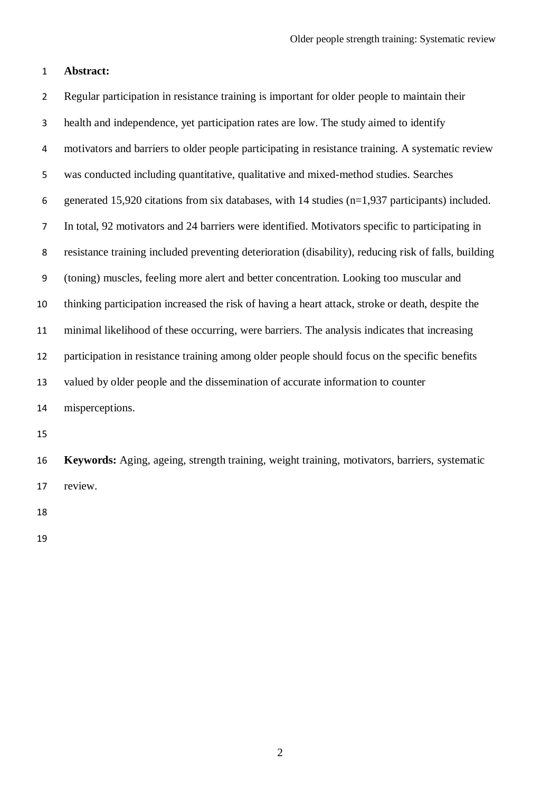### **Abstract:**

 Regular participation in resistance training is important for older people to maintain their health and independence, yet participation rates are low. The study aimed to identify motivators and barriers to older people participating in resistance training. A systematic review was conducted including quantitative, qualitative and mixed-method studies. Searches generated 15,920 citations from six databases, with 14 studies (n=1,937 participants) included. In total, 92 motivators and 24 barriers were identified. Motivators specific to participating in resistance training included preventing deterioration (disability), reducing risk of falls, building (toning) muscles, feeling more alert and better concentration. Looking too muscular and thinking participation increased the risk of having a heart attack, stroke or death, despite the minimal likelihood of these occurring, were barriers. The analysis indicates that increasing participation in resistance training among older people should focus on the specific benefits valued by older people and the dissemination of accurate information to counter misperceptions.

 **Keywords:** Aging, ageing, strength training, weight training, motivators, barriers, systematic review.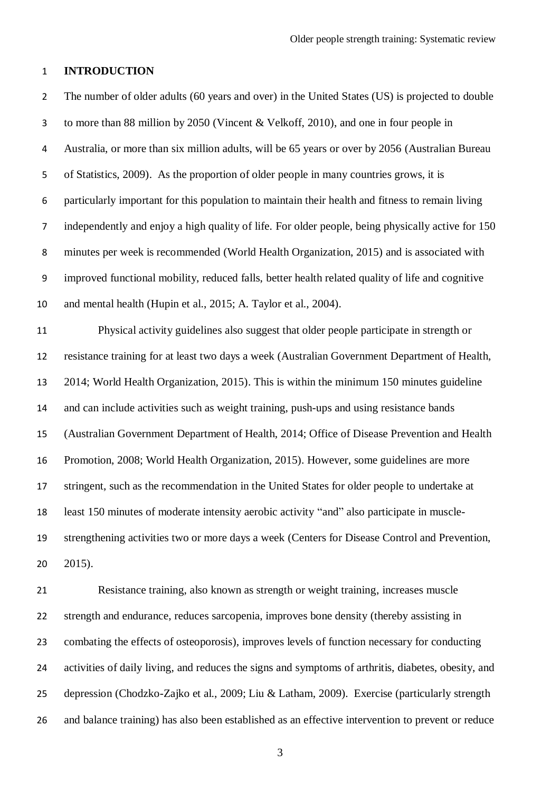### **INTRODUCTION**

 The number of older adults (60 years and over) in the United States (US) is projected to double to more than 88 million by 2050 (Vincent & Velkoff, 2010), and one in four people in Australia, or more than six million adults, will be 65 years or over by 2056 (Australian Bureau of Statistics, 2009). As the proportion of older people in many countries grows, it is particularly important for this population to maintain their health and fitness to remain living independently and enjoy a high quality of life. For older people, being physically active for 150 minutes per week is recommended (World Health Organization, 2015) and is associated with improved functional mobility, reduced falls, better health related quality of life and cognitive and mental health (Hupin et al., 2015; A. Taylor et al., 2004). Physical activity guidelines also suggest that older people participate in strength or resistance training for at least two days a week (Australian Government Department of Health, 2014; World Health Organization, 2015). This is within the minimum 150 minutes guideline and can include activities such as weight training, push-ups and using resistance bands (Australian Government Department of Health, 2014; Office of Disease Prevention and Health Promotion, 2008; World Health Organization, 2015). However, some guidelines are more stringent, such as the recommendation in the United States for older people to undertake at least 150 minutes of moderate intensity aerobic activity "and" also participate in muscle- strengthening activities two or more days a week (Centers for Disease Control and Prevention, 2015).

 Resistance training, also known as strength or weight training, increases muscle strength and endurance, reduces sarcopenia, improves bone density (thereby assisting in combating the effects of osteoporosis), improves levels of function necessary for conducting activities of daily living, and reduces the signs and symptoms of arthritis, diabetes, obesity, and depression (Chodzko-Zajko et al., 2009; Liu & Latham, 2009). Exercise (particularly strength and balance training) has also been established as an effective intervention to prevent or reduce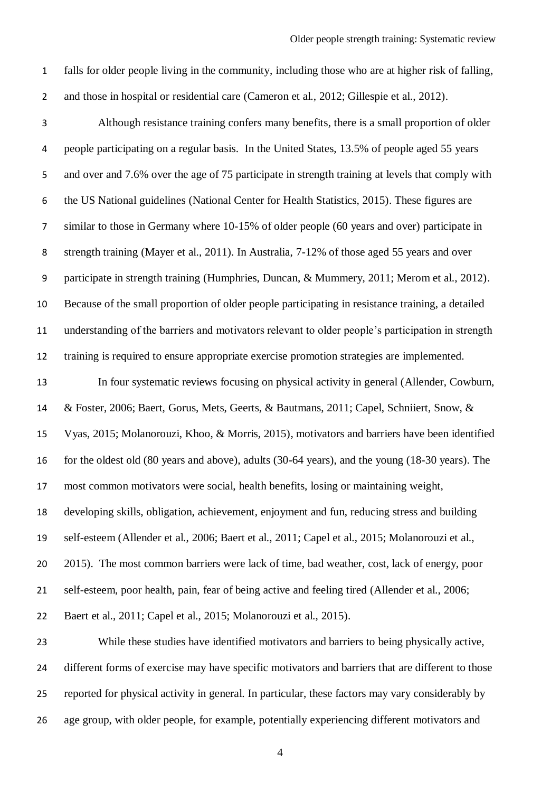falls for older people living in the community, including those who are at higher risk of falling,

and those in hospital or residential care (Cameron et al., 2012; Gillespie et al., 2012).

 Although resistance training confers many benefits, there is a small proportion of older people participating on a regular basis. In the United States, 13.5% of people aged 55 years and over and 7.6% over the age of 75 participate in strength training at levels that comply with the US National guidelines (National Center for Health Statistics, 2015). These figures are similar to those in Germany where 10-15% of older people (60 years and over) participate in strength training (Mayer et al., 2011). In Australia, 7-12% of those aged 55 years and over participate in strength training (Humphries, Duncan, & Mummery, 2011; Merom et al., 2012). Because of the small proportion of older people participating in resistance training, a detailed understanding of the barriers and motivators relevant to older people's participation in strength training is required to ensure appropriate exercise promotion strategies are implemented. In four systematic reviews focusing on physical activity in general (Allender, Cowburn, & Foster, 2006; Baert, Gorus, Mets, Geerts, & Bautmans, 2011; Capel, Schniiert, Snow, & Vyas, 2015; Molanorouzi, Khoo, & Morris, 2015), motivators and barriers have been identified

for the oldest old (80 years and above), adults (30-64 years), and the young (18-30 years). The

most common motivators were social, health benefits, losing or maintaining weight,

developing skills, obligation, achievement, enjoyment and fun, reducing stress and building

self-esteem (Allender et al., 2006; Baert et al., 2011; Capel et al., 2015; Molanorouzi et al.,

2015). The most common barriers were lack of time, bad weather, cost, lack of energy, poor

self-esteem, poor health, pain, fear of being active and feeling tired (Allender et al., 2006;

Baert et al., 2011; Capel et al., 2015; Molanorouzi et al., 2015).

 While these studies have identified motivators and barriers to being physically active, different forms of exercise may have specific motivators and barriers that are different to those reported for physical activity in general. In particular, these factors may vary considerably by age group, with older people, for example, potentially experiencing different motivators and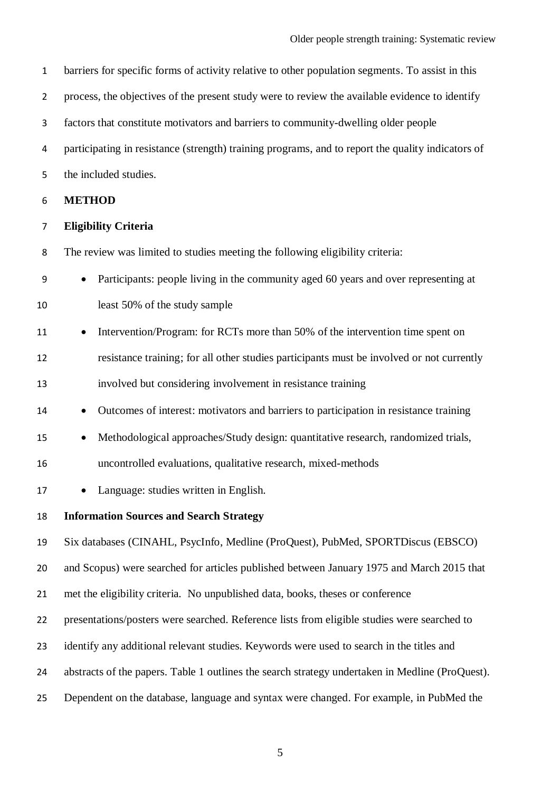| barriers for specific forms of activity relative to other population segments. To assist in this |
|--------------------------------------------------------------------------------------------------|
| process, the objectives of the present study were to review the available evidence to identify   |

factors that constitute motivators and barriers to community-dwelling older people

participating in resistance (strength) training programs, and to report the quality indicators of

the included studies.

**METHOD**

### **Eligibility Criteria**

The review was limited to studies meeting the following eligibility criteria:

|    | • Participants: people living in the community aged 60 years and over representing at |
|----|---------------------------------------------------------------------------------------|
| 10 | least 50% of the study sample                                                         |

- 11 Intervention/Program: for RCTs more than 50% of the intervention time spent on resistance training; for all other studies participants must be involved or not currently involved but considering involvement in resistance training
- Outcomes of interest: motivators and barriers to participation in resistance training
- 15 Methodological approaches/Study design: quantitative research, randomized trials,
- uncontrolled evaluations, qualitative research, mixed-methods
- 17 Language: studies written in English.

**Information Sources and Search Strategy**

Six databases (CINAHL, PsycInfo, Medline (ProQuest), PubMed, SPORTDiscus (EBSCO)

and Scopus) were searched for articles published between January 1975 and March 2015 that

- met the eligibility criteria. No unpublished data, books, theses or conference
- presentations/posters were searched. Reference lists from eligible studies were searched to
- identify any additional relevant studies. Keywords were used to search in the titles and
- abstracts of the papers. Table 1 outlines the search strategy undertaken in Medline (ProQuest).
- Dependent on the database, language and syntax were changed. For example, in PubMed the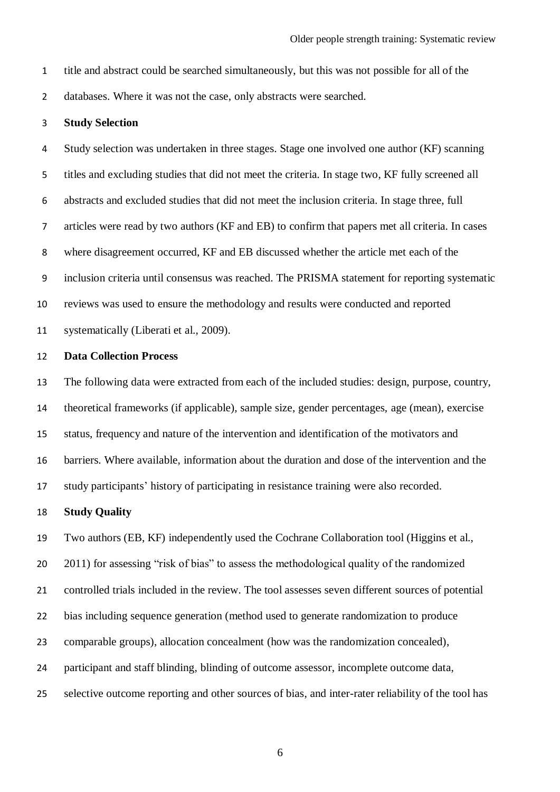title and abstract could be searched simultaneously, but this was not possible for all of the

databases. Where it was not the case, only abstracts were searched.

### **Study Selection**

 Study selection was undertaken in three stages. Stage one involved one author (KF) scanning titles and excluding studies that did not meet the criteria. In stage two, KF fully screened all abstracts and excluded studies that did not meet the inclusion criteria. In stage three, full articles were read by two authors (KF and EB) to confirm that papers met all criteria. In cases where disagreement occurred, KF and EB discussed whether the article met each of the inclusion criteria until consensus was reached. The PRISMA statement for reporting systematic reviews was used to ensure the methodology and results were conducted and reported systematically (Liberati et al., 2009).

#### **Data Collection Process**

 The following data were extracted from each of the included studies: design, purpose, country, theoretical frameworks (if applicable), sample size, gender percentages, age (mean), exercise status, frequency and nature of the intervention and identification of the motivators and barriers. Where available, information about the duration and dose of the intervention and the study participants' history of participating in resistance training were also recorded.

#### **Study Quality**

Two authors (EB, KF) independently used the Cochrane Collaboration tool (Higgins et al.,

20 2011) for assessing "risk of bias" to assess the methodological quality of the randomized

controlled trials included in the review. The tool assesses seven different sources of potential

- bias including sequence generation (method used to generate randomization to produce
- comparable groups), allocation concealment (how was the randomization concealed),
- participant and staff blinding, blinding of outcome assessor, incomplete outcome data,
- selective outcome reporting and other sources of bias, and inter-rater reliability of the tool has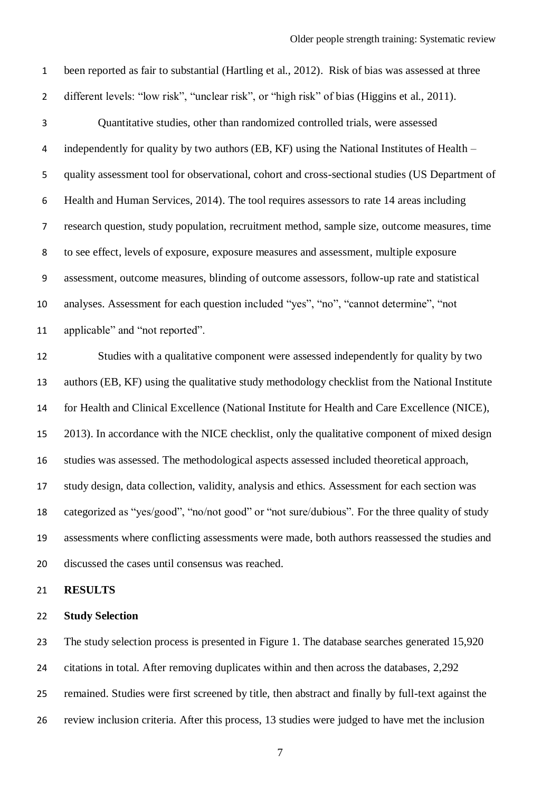been reported as fair to substantial (Hartling et al., 2012). Risk of bias was assessed at three different levels: "low risk", "unclear risk", or "high risk" of bias (Higgins et al., 2011). Quantitative studies, other than randomized controlled trials, were assessed 4 independently for quality by two authors (EB, KF) using the National Institutes of Health – quality assessment tool for observational, cohort and cross-sectional studies (US Department of Health and Human Services, 2014). The tool requires assessors to rate 14 areas including research question, study population, recruitment method, sample size, outcome measures, time to see effect, levels of exposure, exposure measures and assessment, multiple exposure assessment, outcome measures, blinding of outcome assessors, follow-up rate and statistical analyses. Assessment for each question included "yes", "no", "cannot determine", "not applicable" and "not reported". Studies with a qualitative component were assessed independently for quality by two authors (EB, KF) using the qualitative study methodology checklist from the National Institute for Health and Clinical Excellence (National Institute for Health and Care Excellence (NICE), 2013). In accordance with the NICE checklist, only the qualitative component of mixed design studies was assessed. The methodological aspects assessed included theoretical approach, study design, data collection, validity, analysis and ethics. Assessment for each section was categorized as "yes/good", "no/not good" or "not sure/dubious". For the three quality of study assessments where conflicting assessments were made, both authors reassessed the studies and discussed the cases until consensus was reached.

**RESULTS**

### **Study Selection**

 The study selection process is presented in Figure 1. The database searches generated 15,920 citations in total. After removing duplicates within and then across the databases, 2,292 remained. Studies were first screened by title, then abstract and finally by full-text against the review inclusion criteria. After this process, 13 studies were judged to have met the inclusion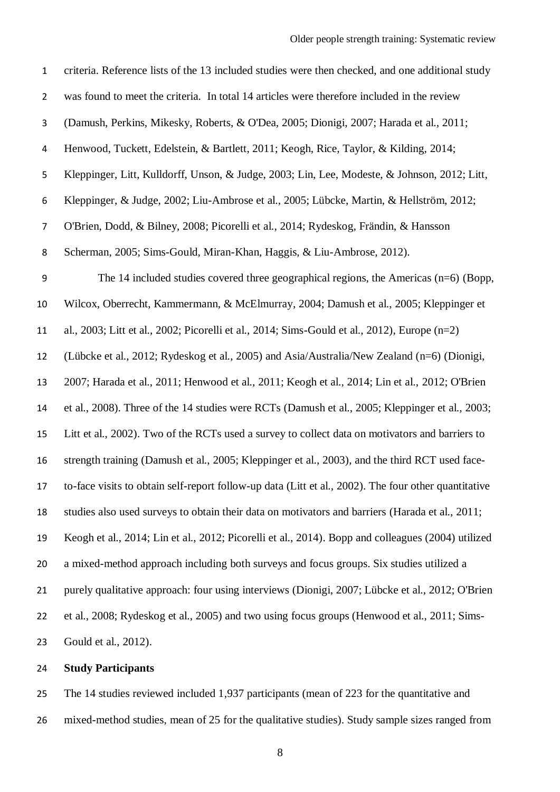| $\mathbf{1}$            | criteria. Reference lists of the 13 included studies were then checked, and one additional study     |
|-------------------------|------------------------------------------------------------------------------------------------------|
| $\overline{2}$          | was found to meet the criteria. In total 14 articles were therefore included in the review           |
| 3                       | (Damush, Perkins, Mikesky, Roberts, & O'Dea, 2005; Dionigi, 2007; Harada et al., 2011;               |
| $\overline{\mathbf{4}}$ | Henwood, Tuckett, Edelstein, & Bartlett, 2011; Keogh, Rice, Taylor, & Kilding, 2014;                 |
| 5                       | Kleppinger, Litt, Kulldorff, Unson, & Judge, 2003; Lin, Lee, Modeste, & Johnson, 2012; Litt,         |
| 6                       | Kleppinger, & Judge, 2002; Liu-Ambrose et al., 2005; Lübcke, Martin, & Hellström, 2012;              |
| $\overline{7}$          | O'Brien, Dodd, & Bilney, 2008; Picorelli et al., 2014; Rydeskog, Frändin, & Hansson                  |
| 8                       | Scherman, 2005; Sims-Gould, Miran-Khan, Haggis, & Liu-Ambrose, 2012).                                |
| 9                       | The 14 included studies covered three geographical regions, the Americas $(n=6)$ (Bopp,              |
| 10                      | Wilcox, Oberrecht, Kammermann, & McElmurray, 2004; Damush et al., 2005; Kleppinger et                |
| 11                      | al., 2003; Litt et al., 2002; Picorelli et al., 2014; Sims-Gould et al., 2012), Europe $(n=2)$       |
| 12                      | (Lübcke et al., 2012; Rydeskog et al., 2005) and Asia/Australia/New Zealand (n=6) (Dionigi,          |
| 13                      | 2007; Harada et al., 2011; Henwood et al., 2011; Keogh et al., 2014; Lin et al., 2012; O'Brien       |
| 14                      | et al., 2008). Three of the 14 studies were RCTs (Damush et al., 2005; Kleppinger et al., 2003;      |
| 15                      | Litt et al., 2002). Two of the RCTs used a survey to collect data on motivators and barriers to      |
| 16                      | strength training (Damush et al., 2005; Kleppinger et al., 2003), and the third RCT used face-       |
| 17                      | to-face visits to obtain self-report follow-up data (Litt et al., 2002). The four other quantitative |
| 18                      | studies also used surveys to obtain their data on motivators and barriers (Harada et al., 2011;      |
| 19                      | Keogh et al., 2014; Lin et al., 2012; Picorelli et al., 2014). Bopp and colleagues (2004) utilized   |
| 20                      | a mixed-method approach including both surveys and focus groups. Six studies utilized a              |
| 21                      | purely qualitative approach: four using interviews (Dionigi, 2007; Lübcke et al., 2012; O'Brien      |
| 22                      | et al., 2008; Rydeskog et al., 2005) and two using focus groups (Henwood et al., 2011; Sims-         |
| 23                      | Gould et al., 2012).                                                                                 |
|                         |                                                                                                      |

## **Study Participants**

 The 14 studies reviewed included 1,937 participants (mean of 223 for the quantitative and mixed-method studies, mean of 25 for the qualitative studies). Study sample sizes ranged from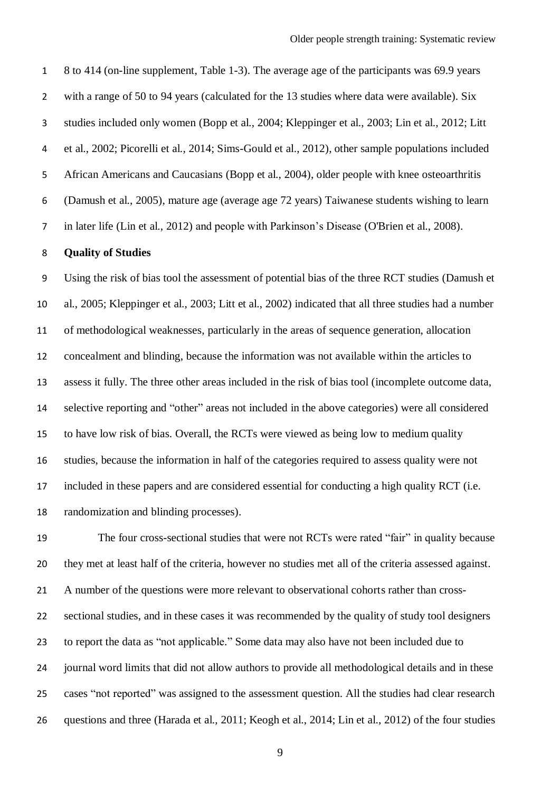8 to 414 (on-line supplement, Table 1-3). The average age of the participants was 69.9 years with a range of 50 to 94 years (calculated for the 13 studies where data were available). Six studies included only women (Bopp et al., 2004; Kleppinger et al., 2003; Lin et al., 2012; Litt et al., 2002; Picorelli et al., 2014; Sims-Gould et al., 2012), other sample populations included African Americans and Caucasians (Bopp et al., 2004), older people with knee osteoarthritis (Damush et al., 2005), mature age (average age 72 years) Taiwanese students wishing to learn in later life (Lin et al., 2012) and people with Parkinson's Disease (O'Brien et al., 2008).

### **Quality of Studies**

 Using the risk of bias tool the assessment of potential bias of the three RCT studies (Damush et al., 2005; Kleppinger et al., 2003; Litt et al., 2002) indicated that all three studies had a number of methodological weaknesses, particularly in the areas of sequence generation, allocation concealment and blinding, because the information was not available within the articles to assess it fully. The three other areas included in the risk of bias tool (incomplete outcome data, selective reporting and "other" areas not included in the above categories) were all considered to have low risk of bias. Overall, the RCTs were viewed as being low to medium quality studies, because the information in half of the categories required to assess quality were not included in these papers and are considered essential for conducting a high quality RCT (i.e. randomization and blinding processes).

 The four cross-sectional studies that were not RCTs were rated "fair" in quality because they met at least half of the criteria, however no studies met all of the criteria assessed against. A number of the questions were more relevant to observational cohorts rather than cross- sectional studies, and in these cases it was recommended by the quality of study tool designers to report the data as "not applicable." Some data may also have not been included due to journal word limits that did not allow authors to provide all methodological details and in these cases "not reported" was assigned to the assessment question. All the studies had clear research questions and three (Harada et al., 2011; Keogh et al., 2014; Lin et al., 2012) of the four studies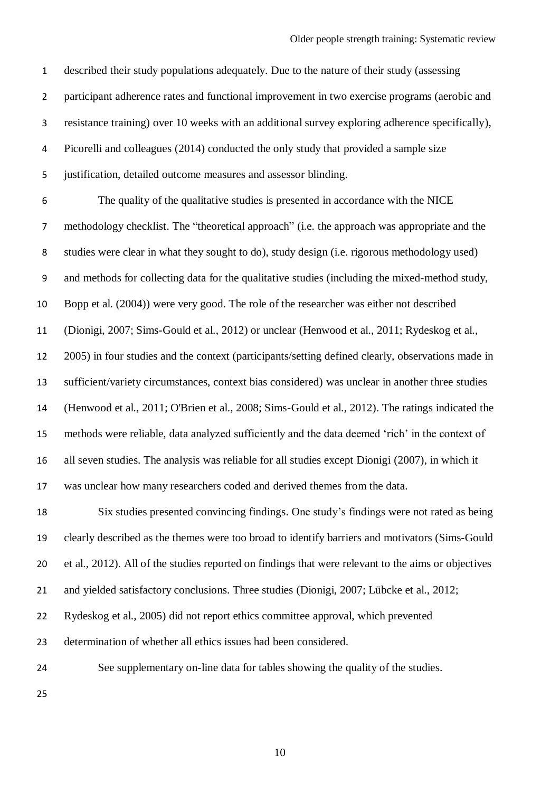described their study populations adequately. Due to the nature of their study (assessing participant adherence rates and functional improvement in two exercise programs (aerobic and resistance training) over 10 weeks with an additional survey exploring adherence specifically), Picorelli and colleagues (2014) conducted the only study that provided a sample size justification, detailed outcome measures and assessor blinding. The quality of the qualitative studies is presented in accordance with the NICE methodology checklist. The "theoretical approach" (i.e. the approach was appropriate and the studies were clear in what they sought to do), study design (i.e. rigorous methodology used) and methods for collecting data for the qualitative studies (including the mixed-method study, Bopp et al. (2004)) were very good. The role of the researcher was either not described (Dionigi, 2007; Sims-Gould et al., 2012) or unclear (Henwood et al., 2011; Rydeskog et al., 2005) in four studies and the context (participants/setting defined clearly, observations made in sufficient/variety circumstances, context bias considered) was unclear in another three studies (Henwood et al., 2011; O'Brien et al., 2008; Sims-Gould et al., 2012). The ratings indicated the methods were reliable, data analyzed sufficiently and the data deemed 'rich' in the context of all seven studies. The analysis was reliable for all studies except Dionigi (2007), in which it was unclear how many researchers coded and derived themes from the data. Six studies presented convincing findings. One study's findings were not rated as being clearly described as the themes were too broad to identify barriers and motivators (Sims-Gould et al., 2012). All of the studies reported on findings that were relevant to the aims or objectives and yielded satisfactory conclusions. Three studies (Dionigi, 2007; Lübcke et al., 2012; Rydeskog et al., 2005) did not report ethics committee approval, which prevented determination of whether all ethics issues had been considered. See supplementary on-line data for tables showing the quality of the studies.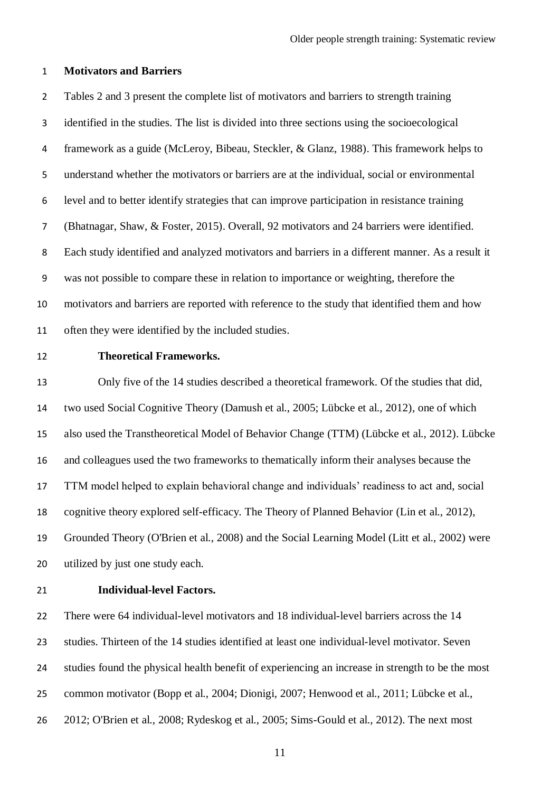### **Motivators and Barriers**

 Tables 2 and 3 present the complete list of motivators and barriers to strength training identified in the studies. The list is divided into three sections using the socioecological framework as a guide (McLeroy, Bibeau, Steckler, & Glanz, 1988). This framework helps to understand whether the motivators or barriers are at the individual, social or environmental level and to better identify strategies that can improve participation in resistance training (Bhatnagar, Shaw, & Foster, 2015). Overall, 92 motivators and 24 barriers were identified. Each study identified and analyzed motivators and barriers in a different manner. As a result it was not possible to compare these in relation to importance or weighting, therefore the motivators and barriers are reported with reference to the study that identified them and how often they were identified by the included studies.

### **Theoretical Frameworks.**

 Only five of the 14 studies described a theoretical framework. Of the studies that did, two used Social Cognitive Theory (Damush et al., 2005; Lübcke et al., 2012), one of which also used the Transtheoretical Model of Behavior Change (TTM) (Lübcke et al., 2012). Lübcke and colleagues used the two frameworks to thematically inform their analyses because the TTM model helped to explain behavioral change and individuals' readiness to act and, social cognitive theory explored self-efficacy. The Theory of Planned Behavior (Lin et al., 2012), Grounded Theory (O'Brien et al., 2008) and the Social Learning Model (Litt et al., 2002) were utilized by just one study each.

### **Individual-level Factors.**

 There were 64 individual-level motivators and 18 individual-level barriers across the 14 studies. Thirteen of the 14 studies identified at least one individual-level motivator. Seven studies found the physical health benefit of experiencing an increase in strength to be the most common motivator (Bopp et al., 2004; Dionigi, 2007; Henwood et al., 2011; Lübcke et al., 2012; O'Brien et al., 2008; Rydeskog et al., 2005; Sims-Gould et al., 2012). The next most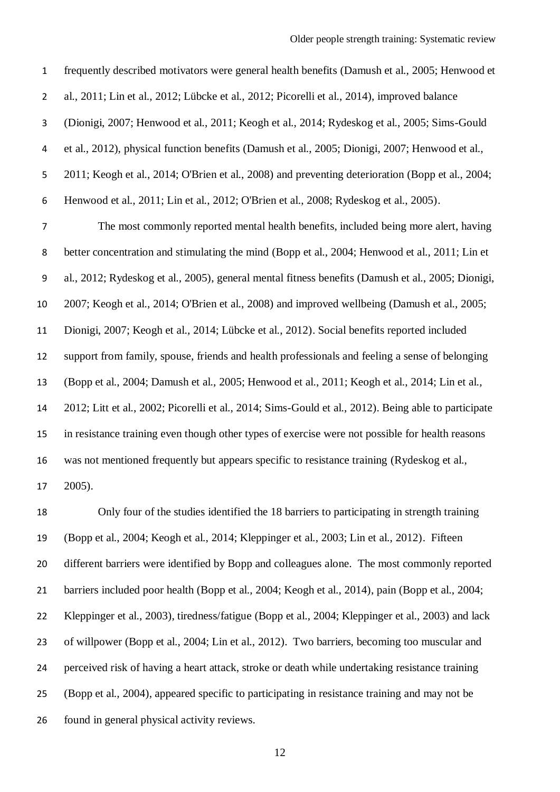frequently described motivators were general health benefits (Damush et al., 2005; Henwood et al., 2011; Lin et al., 2012; Lübcke et al., 2012; Picorelli et al., 2014), improved balance (Dionigi, 2007; Henwood et al., 2011; Keogh et al., 2014; Rydeskog et al., 2005; Sims-Gould et al., 2012), physical function benefits (Damush et al., 2005; Dionigi, 2007; Henwood et al., 2011; Keogh et al., 2014; O'Brien et al., 2008) and preventing deterioration (Bopp et al., 2004; Henwood et al., 2011; Lin et al., 2012; O'Brien et al., 2008; Rydeskog et al., 2005). The most commonly reported mental health benefits, included being more alert, having better concentration and stimulating the mind (Bopp et al., 2004; Henwood et al., 2011; Lin et al., 2012; Rydeskog et al., 2005), general mental fitness benefits (Damush et al., 2005; Dionigi, 2007; Keogh et al., 2014; O'Brien et al., 2008) and improved wellbeing (Damush et al., 2005; Dionigi, 2007; Keogh et al., 2014; Lübcke et al., 2012). Social benefits reported included support from family, spouse, friends and health professionals and feeling a sense of belonging (Bopp et al., 2004; Damush et al., 2005; Henwood et al., 2011; Keogh et al., 2014; Lin et al., 2012; Litt et al., 2002; Picorelli et al., 2014; Sims-Gould et al., 2012). Being able to participate in resistance training even though other types of exercise were not possible for health reasons was not mentioned frequently but appears specific to resistance training (Rydeskog et al., 2005).

 Only four of the studies identified the 18 barriers to participating in strength training (Bopp et al., 2004; Keogh et al., 2014; Kleppinger et al., 2003; Lin et al., 2012). Fifteen different barriers were identified by Bopp and colleagues alone. The most commonly reported barriers included poor health (Bopp et al., 2004; Keogh et al., 2014), pain (Bopp et al., 2004; Kleppinger et al., 2003), tiredness/fatigue (Bopp et al., 2004; Kleppinger et al., 2003) and lack of willpower (Bopp et al., 2004; Lin et al., 2012). Two barriers, becoming too muscular and perceived risk of having a heart attack, stroke or death while undertaking resistance training (Bopp et al., 2004), appeared specific to participating in resistance training and may not be found in general physical activity reviews.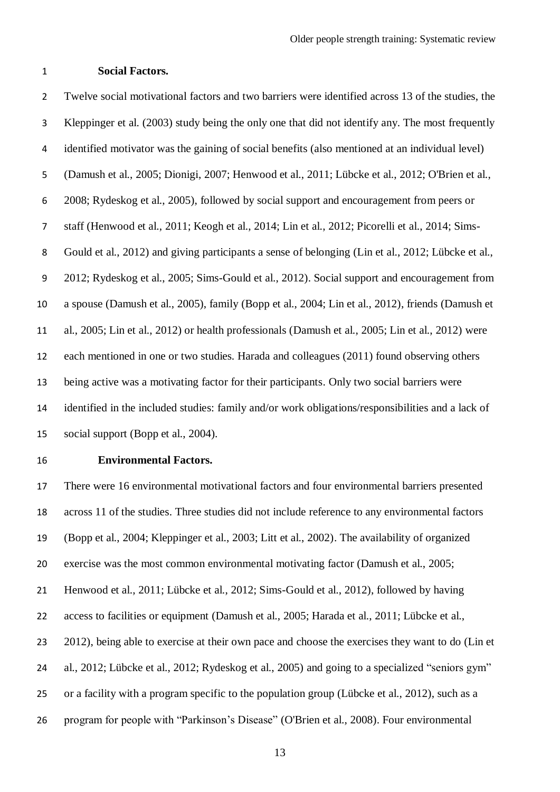### **Social Factors.**

 Twelve social motivational factors and two barriers were identified across 13 of the studies, the Kleppinger et al. (2003) study being the only one that did not identify any. The most frequently identified motivator was the gaining of social benefits (also mentioned at an individual level) (Damush et al., 2005; Dionigi, 2007; Henwood et al., 2011; Lübcke et al., 2012; O'Brien et al., 2008; Rydeskog et al., 2005), followed by social support and encouragement from peers or staff (Henwood et al., 2011; Keogh et al., 2014; Lin et al., 2012; Picorelli et al., 2014; Sims- Gould et al., 2012) and giving participants a sense of belonging (Lin et al., 2012; Lübcke et al., 2012; Rydeskog et al., 2005; Sims-Gould et al., 2012). Social support and encouragement from a spouse (Damush et al., 2005), family (Bopp et al., 2004; Lin et al., 2012), friends (Damush et al., 2005; Lin et al., 2012) or health professionals (Damush et al., 2005; Lin et al., 2012) were each mentioned in one or two studies. Harada and colleagues (2011) found observing others being active was a motivating factor for their participants. Only two social barriers were identified in the included studies: family and/or work obligations/responsibilities and a lack of social support (Bopp et al., 2004).

### **Environmental Factors.**

 There were 16 environmental motivational factors and four environmental barriers presented across 11 of the studies. Three studies did not include reference to any environmental factors (Bopp et al., 2004; Kleppinger et al., 2003; Litt et al., 2002). The availability of organized exercise was the most common environmental motivating factor (Damush et al., 2005; Henwood et al., 2011; Lübcke et al., 2012; Sims-Gould et al., 2012), followed by having access to facilities or equipment (Damush et al., 2005; Harada et al., 2011; Lübcke et al., 2012), being able to exercise at their own pace and choose the exercises they want to do (Lin et al., 2012; Lübcke et al., 2012; Rydeskog et al., 2005) and going to a specialized "seniors gym" or a facility with a program specific to the population group (Lübcke et al., 2012), such as a program for people with "Parkinson's Disease" (O'Brien et al., 2008). Four environmental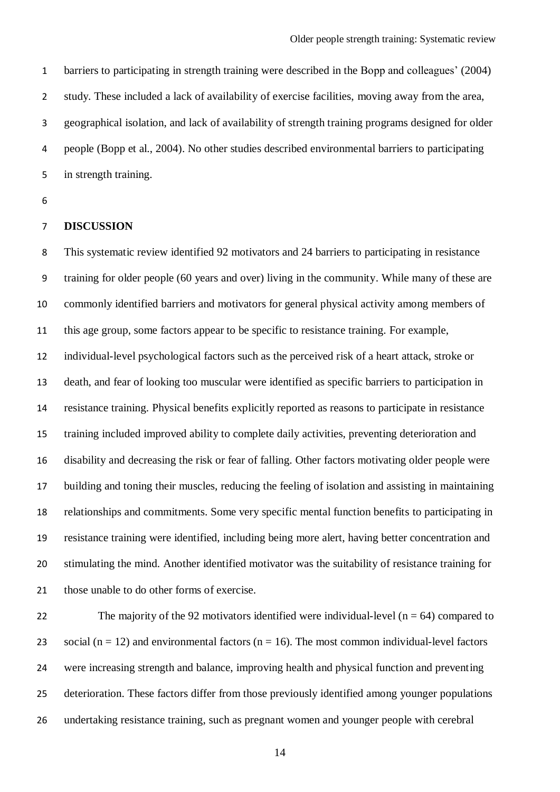barriers to participating in strength training were described in the Bopp and colleagues' (2004) study. These included a lack of availability of exercise facilities, moving away from the area, geographical isolation, and lack of availability of strength training programs designed for older people (Bopp et al., 2004). No other studies described environmental barriers to participating in strength training.

### **DISCUSSION**

 This systematic review identified 92 motivators and 24 barriers to participating in resistance training for older people (60 years and over) living in the community. While many of these are commonly identified barriers and motivators for general physical activity among members of this age group, some factors appear to be specific to resistance training. For example, individual-level psychological factors such as the perceived risk of a heart attack, stroke or death, and fear of looking too muscular were identified as specific barriers to participation in resistance training. Physical benefits explicitly reported as reasons to participate in resistance training included improved ability to complete daily activities, preventing deterioration and disability and decreasing the risk or fear of falling. Other factors motivating older people were building and toning their muscles, reducing the feeling of isolation and assisting in maintaining relationships and commitments. Some very specific mental function benefits to participating in resistance training were identified, including being more alert, having better concentration and stimulating the mind. Another identified motivator was the suitability of resistance training for those unable to do other forms of exercise.

22 The majority of the 92 motivators identified were individual-level  $(n = 64)$  compared to 23 social ( $n = 12$ ) and environmental factors ( $n = 16$ ). The most common individual-level factors were increasing strength and balance, improving health and physical function and preventing deterioration. These factors differ from those previously identified among younger populations undertaking resistance training, such as pregnant women and younger people with cerebral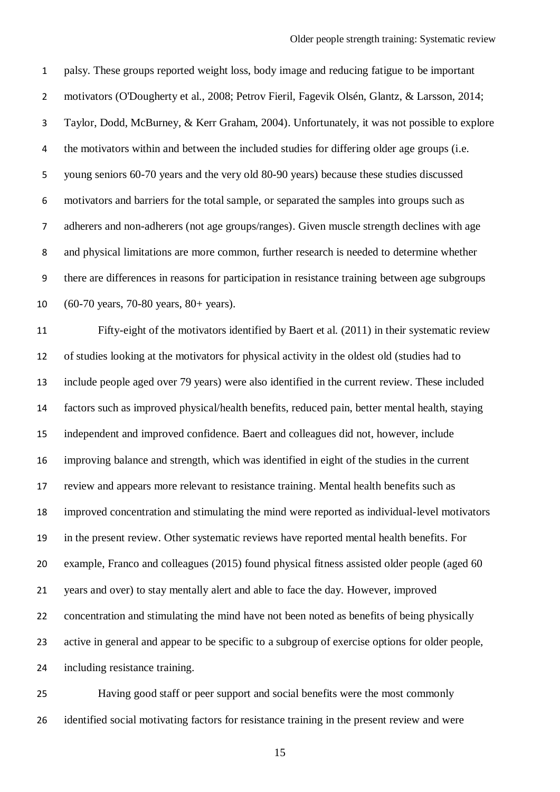palsy. These groups reported weight loss, body image and reducing fatigue to be important motivators (O'Dougherty et al., 2008; Petrov Fieril, Fagevik Olsén, Glantz, & Larsson, 2014; Taylor, Dodd, McBurney, & Kerr Graham, 2004). Unfortunately, it was not possible to explore 4 the motivators within and between the included studies for differing older age groups (i.e. young seniors 60-70 years and the very old 80-90 years) because these studies discussed motivators and barriers for the total sample, or separated the samples into groups such as adherers and non-adherers (not age groups/ranges). Given muscle strength declines with age and physical limitations are more common, further research is needed to determine whether there are differences in reasons for participation in resistance training between age subgroups (60-70 years, 70-80 years, 80+ years).

 Fifty-eight of the motivators identified by Baert et al. (2011) in their systematic review of studies looking at the motivators for physical activity in the oldest old (studies had to include people aged over 79 years) were also identified in the current review. These included factors such as improved physical/health benefits, reduced pain, better mental health, staying independent and improved confidence. Baert and colleagues did not, however, include improving balance and strength, which was identified in eight of the studies in the current review and appears more relevant to resistance training. Mental health benefits such as improved concentration and stimulating the mind were reported as individual-level motivators in the present review. Other systematic reviews have reported mental health benefits. For example, Franco and colleagues (2015) found physical fitness assisted older people (aged 60 years and over) to stay mentally alert and able to face the day. However, improved concentration and stimulating the mind have not been noted as benefits of being physically active in general and appear to be specific to a subgroup of exercise options for older people, including resistance training.

 Having good staff or peer support and social benefits were the most commonly identified social motivating factors for resistance training in the present review and were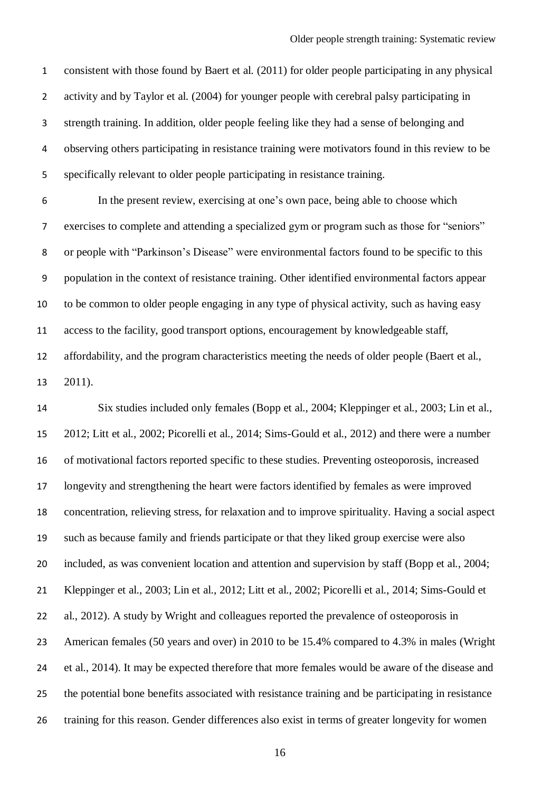consistent with those found by Baert et al. (2011) for older people participating in any physical activity and by Taylor et al. (2004) for younger people with cerebral palsy participating in strength training. In addition, older people feeling like they had a sense of belonging and observing others participating in resistance training were motivators found in this review to be specifically relevant to older people participating in resistance training.

 In the present review, exercising at one's own pace, being able to choose which exercises to complete and attending a specialized gym or program such as those for "seniors" or people with "Parkinson's Disease" were environmental factors found to be specific to this population in the context of resistance training. Other identified environmental factors appear to be common to older people engaging in any type of physical activity, such as having easy access to the facility, good transport options, encouragement by knowledgeable staff, affordability, and the program characteristics meeting the needs of older people (Baert et al.,

2011).

 Six studies included only females (Bopp et al., 2004; Kleppinger et al., 2003; Lin et al., 2012; Litt et al., 2002; Picorelli et al., 2014; Sims-Gould et al., 2012) and there were a number of motivational factors reported specific to these studies. Preventing osteoporosis, increased longevity and strengthening the heart were factors identified by females as were improved concentration, relieving stress, for relaxation and to improve spirituality. Having a social aspect such as because family and friends participate or that they liked group exercise were also included, as was convenient location and attention and supervision by staff (Bopp et al., 2004; Kleppinger et al., 2003; Lin et al., 2012; Litt et al., 2002; Picorelli et al., 2014; Sims-Gould et al., 2012). A study by Wright and colleagues reported the prevalence of osteoporosis in American females (50 years and over) in 2010 to be 15.4% compared to 4.3% in males (Wright et al., 2014). It may be expected therefore that more females would be aware of the disease and the potential bone benefits associated with resistance training and be participating in resistance training for this reason. Gender differences also exist in terms of greater longevity for women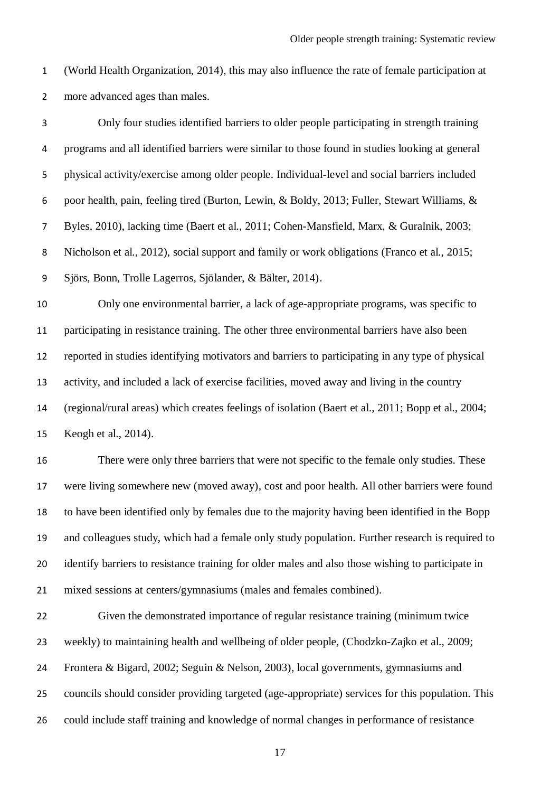(World Health Organization, 2014), this may also influence the rate of female participation at more advanced ages than males.

| $\mathbf{3}$   | Only four studies identified barriers to older people participating in strength training           |
|----------------|----------------------------------------------------------------------------------------------------|
| 4              | programs and all identified barriers were similar to those found in studies looking at general     |
| 5              | physical activity/exercise among older people. Individual-level and social barriers included       |
| 6              | poor health, pain, feeling tired (Burton, Lewin, & Boldy, 2013; Fuller, Stewart Williams, &        |
| $\overline{7}$ | Byles, 2010), lacking time (Baert et al., 2011; Cohen-Mansfield, Marx, & Guralnik, 2003;           |
| 8              | Nicholson et al., 2012), social support and family or work obligations (Franco et al., 2015;       |
| 9              | Sjörs, Bonn, Trolle Lagerros, Sjölander, & Bälter, 2014).                                          |
| $10\,$         | Only one environmental barrier, a lack of age-appropriate programs, was specific to                |
| 11             | participating in resistance training. The other three environmental barriers have also been        |
| 12             | reported in studies identifying motivators and barriers to participating in any type of physical   |
| 13             | activity, and included a lack of exercise facilities, moved away and living in the country         |
| 14             | (regional/rural areas) which creates feelings of isolation (Baert et al., 2011; Bopp et al., 2004; |
| 15             | Keogh et al., 2014).                                                                               |
| 16             | There were only three barriers that were not specific to the female only studies. These            |
| 17             | were living somewhere new (moved away), cost and poor health. All other barriers were found        |
| 18             | to have been identified only by females due to the majority having been identified in the Bopp     |
| 19             | and colleagues study, which had a female only study population. Further research is required to    |
| 20             | identify barriers to resistance training for older males and also those wishing to participate in  |
| 21             | mixed sessions at centers/gymnasiums (males and females combined).                                 |
| 22             | Given the demonstrated importance of regular resistance training (minimum twice                    |
| 23             | weekly) to maintaining health and wellbeing of older people, (Chodzko-Zajko et al., 2009;          |
| 24             | Frontera & Bigard, 2002; Seguin & Nelson, 2003), local governments, gymnasiums and                 |
| 25             | councils should consider providing targeted (age-appropriate) services for this population. This   |
| 26             | could include staff training and knowledge of normal changes in performance of resistance          |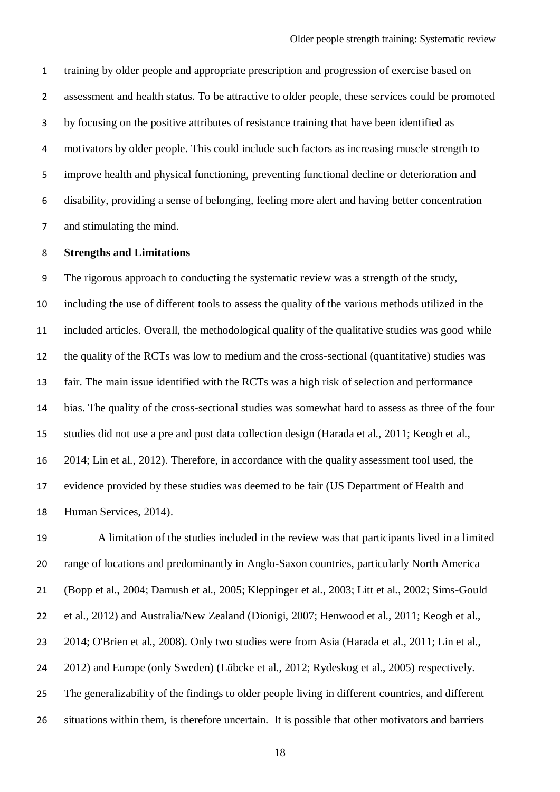training by older people and appropriate prescription and progression of exercise based on assessment and health status. To be attractive to older people, these services could be promoted by focusing on the positive attributes of resistance training that have been identified as motivators by older people. This could include such factors as increasing muscle strength to improve health and physical functioning, preventing functional decline or deterioration and disability, providing a sense of belonging, feeling more alert and having better concentration and stimulating the mind.

### **Strengths and Limitations**

 The rigorous approach to conducting the systematic review was a strength of the study, including the use of different tools to assess the quality of the various methods utilized in the included articles. Overall, the methodological quality of the qualitative studies was good while the quality of the RCTs was low to medium and the cross-sectional (quantitative) studies was fair. The main issue identified with the RCTs was a high risk of selection and performance bias. The quality of the cross-sectional studies was somewhat hard to assess as three of the four studies did not use a pre and post data collection design (Harada et al., 2011; Keogh et al., 2014; Lin et al., 2012). Therefore, in accordance with the quality assessment tool used, the evidence provided by these studies was deemed to be fair (US Department of Health and Human Services, 2014).

 A limitation of the studies included in the review was that participants lived in a limited range of locations and predominantly in Anglo-Saxon countries, particularly North America (Bopp et al., 2004; Damush et al., 2005; Kleppinger et al., 2003; Litt et al., 2002; Sims-Gould et al., 2012) and Australia/New Zealand (Dionigi, 2007; Henwood et al., 2011; Keogh et al., 2014; O'Brien et al., 2008). Only two studies were from Asia (Harada et al., 2011; Lin et al., 2012) and Europe (only Sweden) (Lübcke et al., 2012; Rydeskog et al., 2005) respectively. The generalizability of the findings to older people living in different countries, and different situations within them, is therefore uncertain. It is possible that other motivators and barriers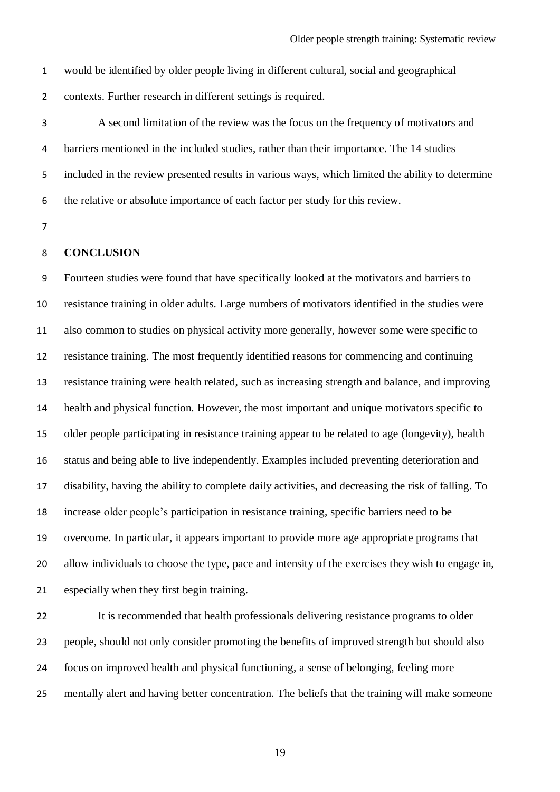would be identified by older people living in different cultural, social and geographical

contexts. Further research in different settings is required.

 A second limitation of the review was the focus on the frequency of motivators and barriers mentioned in the included studies, rather than their importance. The 14 studies included in the review presented results in various ways, which limited the ability to determine the relative or absolute importance of each factor per study for this review.

### **CONCLUSION**

 Fourteen studies were found that have specifically looked at the motivators and barriers to resistance training in older adults. Large numbers of motivators identified in the studies were also common to studies on physical activity more generally, however some were specific to resistance training. The most frequently identified reasons for commencing and continuing resistance training were health related, such as increasing strength and balance, and improving health and physical function. However, the most important and unique motivators specific to older people participating in resistance training appear to be related to age (longevity), health status and being able to live independently. Examples included preventing deterioration and disability, having the ability to complete daily activities, and decreasing the risk of falling. To increase older people's participation in resistance training, specific barriers need to be overcome. In particular, it appears important to provide more age appropriate programs that allow individuals to choose the type, pace and intensity of the exercises they wish to engage in, especially when they first begin training.

 It is recommended that health professionals delivering resistance programs to older people, should not only consider promoting the benefits of improved strength but should also focus on improved health and physical functioning, a sense of belonging, feeling more mentally alert and having better concentration. The beliefs that the training will make someone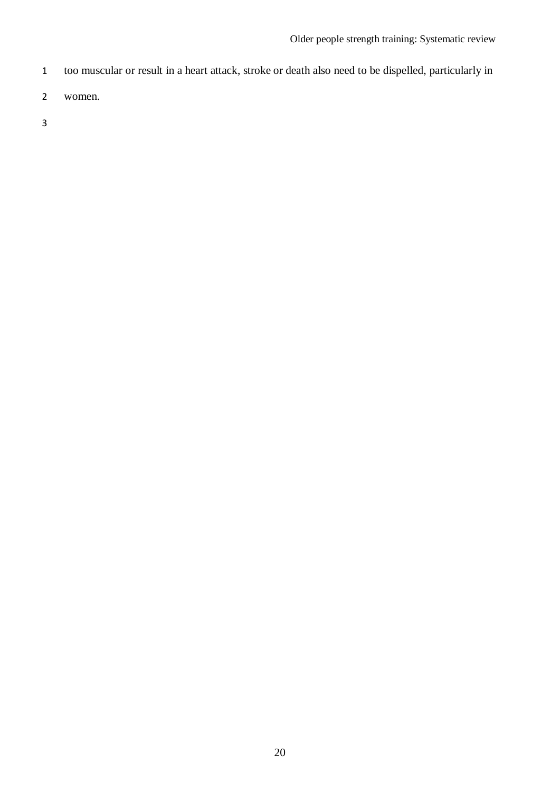- too muscular or result in a heart attack, stroke or death also need to be dispelled, particularly in
- women.
-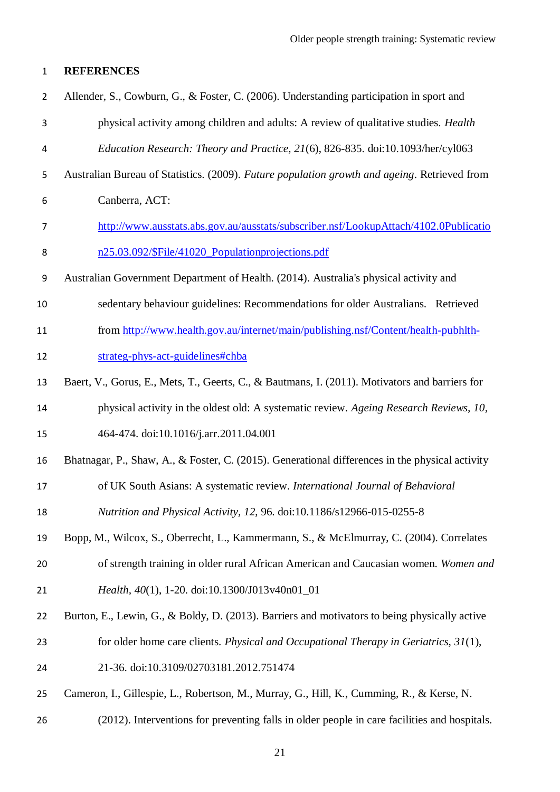### **REFERENCES**

| $\overline{2}$ | Allender, S., Cowburn, G., & Foster, C. (2006). Understanding participation in sport and        |
|----------------|-------------------------------------------------------------------------------------------------|
| 3              | physical activity among children and adults: A review of qualitative studies. Health            |
| 4              | Education Research: Theory and Practice, 21(6), 826-835. doi:10.1093/her/cyl063                 |
| 5              | Australian Bureau of Statistics. (2009). Future population growth and ageing. Retrieved from    |
| 6              | Canberra, ACT:                                                                                  |
| 7              | http://www.ausstats.abs.gov.au/ausstats/subscriber.nsf/LookupAttach/4102.0Publicatio            |
| 8              | n25.03.092/\$File/41020 Populationprojections.pdf                                               |
| 9              | Australian Government Department of Health. (2014). Australia's physical activity and           |
| 10             | sedentary behaviour guidelines: Recommendations for older Australians. Retrieved                |
| 11             | from http://www.health.gov.au/internet/main/publishing.nsf/Content/health-pubhlth-              |
| 12             | strateg-phys-act-guidelines#chba                                                                |
| 13             | Baert, V., Gorus, E., Mets, T., Geerts, C., & Bautmans, I. (2011). Motivators and barriers for  |
| 14             | physical activity in the oldest old: A systematic review. Ageing Research Reviews, 10,          |
| 15             | 464-474. doi:10.1016/j.arr.2011.04.001                                                          |
| 16             | Bhatnagar, P., Shaw, A., & Foster, C. (2015). Generational differences in the physical activity |
| 17             | of UK South Asians: A systematic review. International Journal of Behavioral                    |
| 18             | Nutrition and Physical Activity, 12, 96. doi:10.1186/s12966-015-0255-8                          |
| 19             | Bopp, M., Wilcox, S., Oberrecht, L., Kammermann, S., & McElmurray, C. (2004). Correlates        |
| 20             | of strength training in older rural African American and Caucasian women. Women and             |
| 21             | Health, 40(1), 1-20. doi:10.1300/J013v40n01_01                                                  |
| 22             | Burton, E., Lewin, G., & Boldy, D. (2013). Barriers and motivators to being physically active   |
| 23             | for older home care clients. Physical and Occupational Therapy in Geriatrics, $31(1)$ ,         |
| 24             | 21-36. doi:10.3109/02703181.2012.751474                                                         |
| 25             | Cameron, I., Gillespie, L., Robertson, M., Murray, G., Hill, K., Cumming, R., & Kerse, N.       |
| 26             | (2012). Interventions for preventing falls in older people in care facilities and hospitals.    |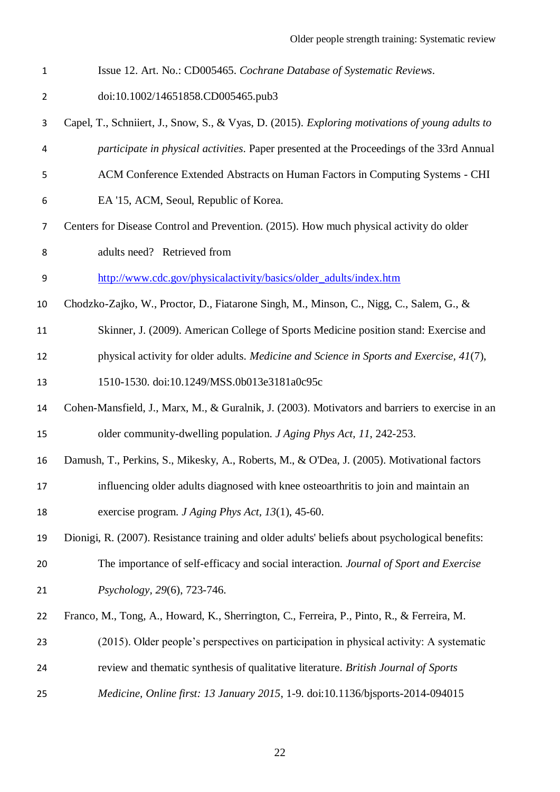Issue 12. Art. No.: CD005465. *Cochrane Database of Systematic Reviews*. doi:10.1002/14651858.CD005465.pub3 Capel, T., Schniiert, J., Snow, S., & Vyas, D. (2015). *Exploring motivations of young adults to participate in physical activities*. Paper presented at the Proceedings of the 33rd Annual ACM Conference Extended Abstracts on Human Factors in Computing Systems - CHI EA '15, ACM, Seoul, Republic of Korea. Centers for Disease Control and Prevention. (2015). How much physical activity do older adults need? Retrieved from [http://www.cdc.gov/physicalactivity/basics/older\\_adults/index.htm](http://www.cdc.gov/physicalactivity/basics/older_adults/index.htm) Chodzko-Zajko, W., Proctor, D., Fiatarone Singh, M., Minson, C., Nigg, C., Salem, G., & Skinner, J. (2009). American College of Sports Medicine position stand: Exercise and physical activity for older adults. *Medicine and Science in Sports and Exercise, 41*(7), 1510-1530. doi:10.1249/MSS.0b013e3181a0c95c Cohen-Mansfield, J., Marx, M., & Guralnik, J. (2003). Motivators and barriers to exercise in an older community-dwelling population. *J Aging Phys Act, 11*, 242-253. Damush, T., Perkins, S., Mikesky, A., Roberts, M., & O'Dea, J. (2005). Motivational factors influencing older adults diagnosed with knee osteoarthritis to join and maintain an exercise program. *J Aging Phys Act, 13*(1), 45-60. Dionigi, R. (2007). Resistance training and older adults' beliefs about psychological benefits: The importance of self-efficacy and social interaction. *Journal of Sport and Exercise Psychology, 29*(6), 723-746. Franco, M., Tong, A., Howard, K., Sherrington, C., Ferreira, P., Pinto, R., & Ferreira, M. (2015). Older people's perspectives on participation in physical activity: A systematic review and thematic synthesis of qualitative literature. *British Journal of Sports Medicine, Online first: 13 January 2015*, 1-9. doi:10.1136/bjsports-2014-094015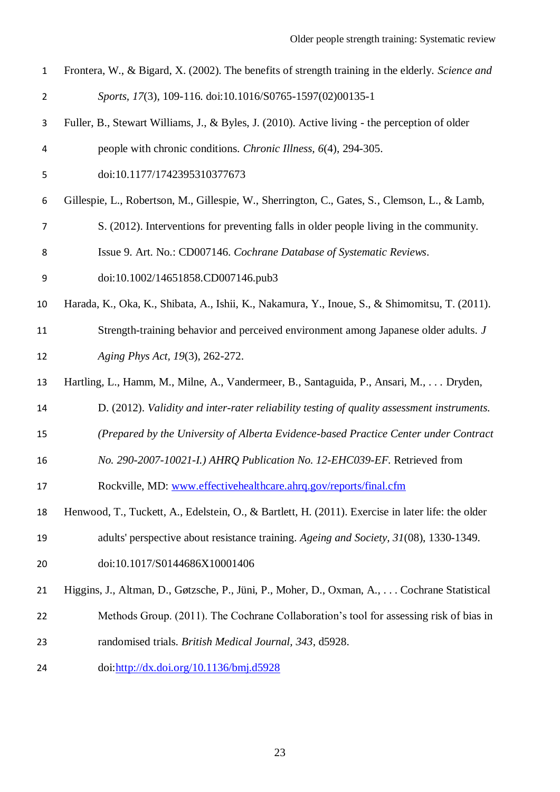| Frontera, W., & Bigard, X. (2002). The benefits of strength training in the elderly. Science and |
|--------------------------------------------------------------------------------------------------|
| Sports, 17(3), 109-116. doi:10.1016/S0765-1597(02)00135-1                                        |

- Fuller, B., Stewart Williams, J., & Byles, J. (2010). Active living the perception of older people with chronic conditions. *Chronic Illness, 6*(4), 294-305.
- doi:10.1177/1742395310377673
- Gillespie, L., Robertson, M., Gillespie, W., Sherrington, C., Gates, S., Clemson, L., & Lamb,
- S. (2012). Interventions for preventing falls in older people living in the community.
- Issue 9. Art. No.: CD007146. *Cochrane Database of Systematic Reviews*.
- doi:10.1002/14651858.CD007146.pub3

Harada, K., Oka, K., Shibata, A., Ishii, K., Nakamura, Y., Inoue, S., & Shimomitsu, T. (2011).

- Strength-training behavior and perceived environment among Japanese older adults. *J Aging Phys Act, 19*(3), 262-272.
- Hartling, L., Hamm, M., Milne, A., Vandermeer, B., Santaguida, P., Ansari, M., . . . Dryden,
- D. (2012). *Validity and inter-rater reliability testing of quality assessment instruments.*
- *(Prepared by the University of Alberta Evidence-based Practice Center under Contract*
- *No. 290-2007-10021-I.) AHRQ Publication No. 12-EHC039-EF.* Retrieved from
- Rockville, MD: [www.effectivehealthcare.ahrq.gov/reports/final.cfm](http://www.effectivehealthcare.ahrq.gov/reports/final.cfm)
- Henwood, T., Tuckett, A., Edelstein, O., & Bartlett, H. (2011). Exercise in later life: the older adults' perspective about resistance training. *Ageing and Society, 31*(08), 1330-1349.
- doi:10.1017/S0144686X10001406
- Higgins, J., Altman, D., Gøtzsche, P., Jüni, P., Moher, D., Oxman, A., . . . Cochrane Statistical
- Methods Group. (2011). The Cochrane Collaboration's tool for assessing risk of bias in
- randomised trials. *British Medical Journal, 343*, d5928.
- doi[:http://dx.doi.org/10.1136/bmj.d5928](http://dx.doi.org/10.1136/bmj.d5928)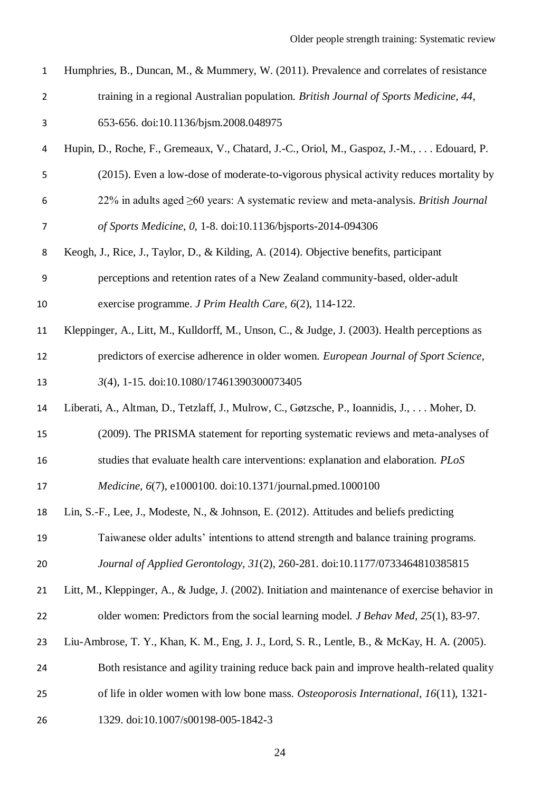| $\mathbf 1$    | Humphries, B., Duncan, M., & Mummery, W. (2011). Prevalence and correlates of resistance         |
|----------------|--------------------------------------------------------------------------------------------------|
| $\overline{2}$ | training in a regional Australian population. British Journal of Sports Medicine, 44,            |
| 3              | 653-656. doi:10.1136/bjsm.2008.048975                                                            |
| 4              | Hupin, D., Roche, F., Gremeaux, V., Chatard, J.-C., Oriol, M., Gaspoz, J.-M.,  Edouard, P.       |
| 5              | (2015). Even a low-dose of moderate-to-vigorous physical activity reduces mortality by           |
| 6              | 22% in adults aged $\geq 60$ years: A systematic review and meta-analysis. British Journal       |
| $\overline{7}$ | of Sports Medicine, 0, 1-8. doi:10.1136/bjsports-2014-094306                                     |
| 8              | Keogh, J., Rice, J., Taylor, D., & Kilding, A. (2014). Objective benefits, participant           |
| 9              | perceptions and retention rates of a New Zealand community-based, older-adult                    |
| 10             | exercise programme. J Prim Health Care, 6(2), 114-122.                                           |
| 11             | Kleppinger, A., Litt, M., Kulldorff, M., Unson, C., & Judge, J. (2003). Health perceptions as    |
| 12             | predictors of exercise adherence in older women. European Journal of Sport Science,              |
| 13             | 3(4), 1-15. doi:10.1080/17461390300073405                                                        |
| 14             | Liberati, A., Altman, D., Tetzlaff, J., Mulrow, C., Gøtzsche, P., Ioannidis, J.,  Moher, D.      |
| 15             | (2009). The PRISMA statement for reporting systematic reviews and meta-analyses of               |
| 16             | studies that evaluate health care interventions: explanation and elaboration. PLoS               |
| 17             | <i>Medicine, 6(7), e1000100. doi:10.1371/journal.pmed.1000100</i>                                |
| 18             | Lin, S.-F., Lee, J., Modeste, N., & Johnson, E. (2012). Attitudes and beliefs predicting         |
| 19             | Taiwanese older adults' intentions to attend strength and balance training programs.             |
| 20             | Journal of Applied Gerontology, 31(2), 260-281. doi:10.1177/0733464810385815                     |
| 21             | Litt, M., Kleppinger, A., & Judge, J. (2002). Initiation and maintenance of exercise behavior in |
| 22             | older women: Predictors from the social learning model. <i>J Behav Med</i> , 25(1), 83-97.       |
| 23             | Liu-Ambrose, T. Y., Khan, K. M., Eng, J. J., Lord, S. R., Lentle, B., & McKay, H. A. (2005).     |
| 24             | Both resistance and agility training reduce back pain and improve health-related quality         |
| 25             | of life in older women with low bone mass. Osteoporosis International, 16(11), 1321-             |
| 26             | 1329. doi:10.1007/s00198-005-1842-3                                                              |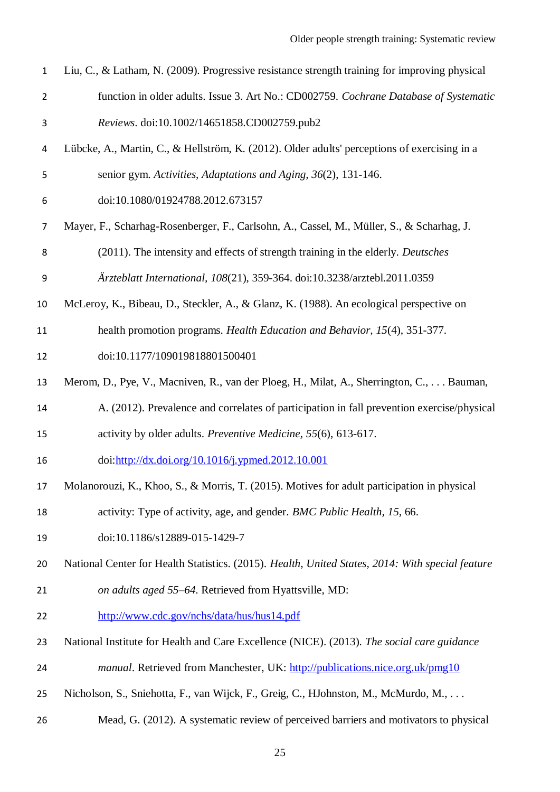| $\mathbf{1}$   | Liu, C., & Latham, N. (2009). Progressive resistance strength training for improving physical    |
|----------------|--------------------------------------------------------------------------------------------------|
| $\overline{2}$ | function in older adults. Issue 3. Art No.: CD002759. Cochrane Database of Systematic            |
| 3              | Reviews. doi:10.1002/14651858.CD002759.pub2                                                      |
| 4              | Lübcke, A., Martin, C., & Hellström, K. (2012). Older adults' perceptions of exercising in a     |
| 5              | senior gym. Activities, Adaptations and Aging, 36(2), 131-146.                                   |
| 6              | doi:10.1080/01924788.2012.673157                                                                 |
| $\overline{7}$ | Mayer, F., Scharhag-Rosenberger, F., Carlsohn, A., Cassel, M., Müller, S., & Scharhag, J.        |
| 8              | (2011). The intensity and effects of strength training in the elderly. Deutsches                 |
| 9              | Ärzteblatt International, 108(21), 359-364. doi:10.3238/arztebl.2011.0359                        |
| 10             | McLeroy, K., Bibeau, D., Steckler, A., & Glanz, K. (1988). An ecological perspective on          |
| 11             | health promotion programs. Health Education and Behavior, 15(4), 351-377.                        |
| 12             | doi:10.1177/109019818801500401                                                                   |
| 13             | Merom, D., Pye, V., Macniven, R., van der Ploeg, H., Milat, A., Sherrington, C.,  Bauman,        |
| 14             | A. (2012). Prevalence and correlates of participation in fall prevention exercise/physical       |
| 15             | activity by older adults. Preventive Medicine, 55(6), 613-617.                                   |
| 16             | doi:http://dx.doi.org/10.1016/j.ypmed.2012.10.001                                                |
| 17             | Molanorouzi, K., Khoo, S., & Morris, T. (2015). Motives for adult participation in physical      |
| 18             | activity: Type of activity, age, and gender. BMC Public Health, 15, 66.                          |
| 19             | doi:10.1186/s12889-015-1429-7                                                                    |
| 20             | National Center for Health Statistics. (2015). Health, United States, 2014: With special feature |
| 21             | on adults aged 55–64. Retrieved from Hyattsville, MD:                                            |
| 22             | http://www.cdc.gov/nchs/data/hus/hus14.pdf                                                       |
| 23             | National Institute for Health and Care Excellence (NICE). (2013). The social care guidance       |
| 24             | <i>manual</i> . Retrieved from Manchester, UK: http://publications.nice.org.uk/pmg10             |
| 25             | Nicholson, S., Sniehotta, F., van Wijck, F., Greig, C., HJohnston, M., McMurdo, M.,              |
| 26             | Mead, G. (2012). A systematic review of perceived barriers and motivators to physical            |
|                |                                                                                                  |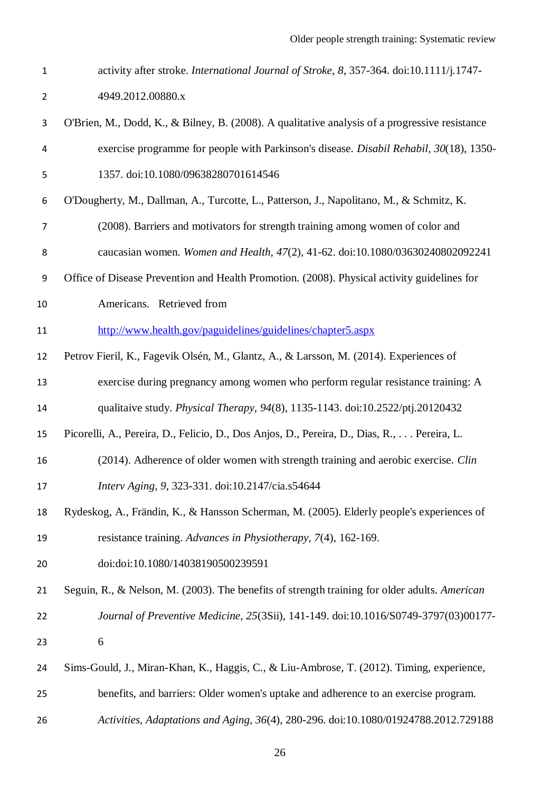- activity after stroke. *International Journal of Stroke, 8*, 357-364. doi:10.1111/j.1747- 4949.2012.00880.x
- O'Brien, M., Dodd, K., & Bilney, B. (2008). A qualitative analysis of a progressive resistance exercise programme for people with Parkinson's disease. *Disabil Rehabil, 30*(18), 1350- 1357. doi:10.1080/09638280701614546
- O'Dougherty, M., Dallman, A., Turcotte, L., Patterson, J., Napolitano, M., & Schmitz, K. (2008). Barriers and motivators for strength training among women of color and
- caucasian women. *Women and Health, 47*(2), 41-62. doi:10.1080/03630240802092241
- Office of Disease Prevention and Health Promotion. (2008). Physical activity guidelines for
- Americans. Retrieved from
- <http://www.health.gov/paguidelines/guidelines/chapter5.aspx>
- Petrov Fieril, K., Fagevik Olsén, M., Glantz, A., & Larsson, M. (2014). Experiences of exercise during pregnancy among women who perform regular resistance training: A
- qualitaive study. *Physical Therapy, 94*(8), 1135-1143. doi:10.2522/ptj.20120432
- Picorelli, A., Pereira, D., Felicio, D., Dos Anjos, D., Pereira, D., Dias, R., . . . Pereira, L.
- (2014). Adherence of older women with strength training and aerobic exercise. *Clin Interv Aging, 9*, 323-331. doi:10.2147/cia.s54644
- Rydeskog, A., Frändin, K., & Hansson Scherman, M. (2005). Elderly people's experiences of resistance training. *Advances in Physiotherapy, 7*(4), 162-169.
- doi:doi:10.1080/14038190500239591
- Seguin, R., & Nelson, M. (2003). The benefits of strength training for older adults. *American Journal of Preventive Medicine, 25*(3Sii), 141-149. doi:10.1016/S0749-3797(03)00177- 6
- Sims-Gould, J., Miran-Khan, K., Haggis, C., & Liu-Ambrose, T. (2012). Timing, experience,
- benefits, and barriers: Older women's uptake and adherence to an exercise program.
- *Activities, Adaptations and Aging, 36*(4), 280-296. doi:10.1080/01924788.2012.729188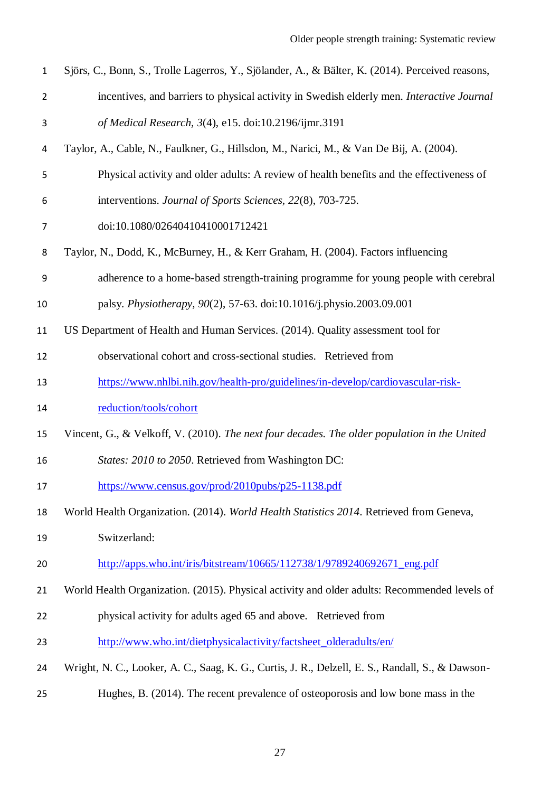- Sjörs, C., Bonn, S., Trolle Lagerros, Y., Sjölander, A., & Bälter, K. (2014). Perceived reasons, incentives, and barriers to physical activity in Swedish elderly men. *Interactive Journal of Medical Research, 3*(4), e15. doi:10.2196/ijmr.3191
- Taylor, A., Cable, N., Faulkner, G., Hillsdon, M., Narici, M., & Van De Bij, A. (2004).
- Physical activity and older adults: A review of health benefits and the effectiveness of
- interventions. *Journal of Sports Sciences, 22*(8), 703-725.
- doi:10.1080/02640410410001712421
- Taylor, N., Dodd, K., McBurney, H., & Kerr Graham, H. (2004). Factors influencing
- adherence to a home-based strength-training programme for young people with cerebral
- palsy. *Physiotherapy, 90*(2), 57-63. doi:10.1016/j.physio.2003.09.001
- US Department of Health and Human Services. (2014). Quality assessment tool for
- observational cohort and cross-sectional studies. Retrieved from
- [https://www.nhlbi.nih.gov/health-pro/guidelines/in-develop/cardiovascular-risk-](https://www.nhlbi.nih.gov/health-pro/guidelines/in-develop/cardiovascular-risk-reduction/tools/cohort)
- [reduction/tools/cohort](https://www.nhlbi.nih.gov/health-pro/guidelines/in-develop/cardiovascular-risk-reduction/tools/cohort)
- Vincent, G., & Velkoff, V. (2010). *The next four decades. The older population in the United*
- *States: 2010 to 2050*. Retrieved from Washington DC:
- <https://www.census.gov/prod/2010pubs/p25-1138.pdf>
- World Health Organization. (2014). *World Health Statistics 2014*. Retrieved from Geneva,
- Switzerland:
- 20 http://apps.who.int/iris/bitstream/10665/112738/1/9789240692671 eng.pdf

World Health Organization. (2015). Physical activity and older adults: Recommended levels of

- physical activity for adults aged 65 and above. Retrieved from
- [http://www.who.int/dietphysicalactivity/factsheet\\_olderadults/en/](http://www.who.int/dietphysicalactivity/factsheet_olderadults/en/)
- Wright, N. C., Looker, A. C., Saag, K. G., Curtis, J. R., Delzell, E. S., Randall, S., & Dawson-
- Hughes, B. (2014). The recent prevalence of osteoporosis and low bone mass in the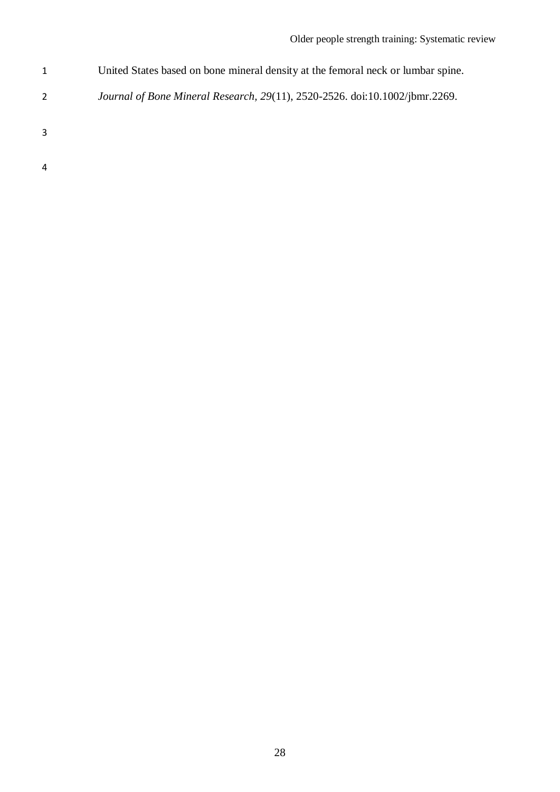- United States based on bone mineral density at the femoral neck or lumbar spine.
- *Journal of Bone Mineral Research, 29*(11), 2520-2526. doi:10.1002/jbmr.2269.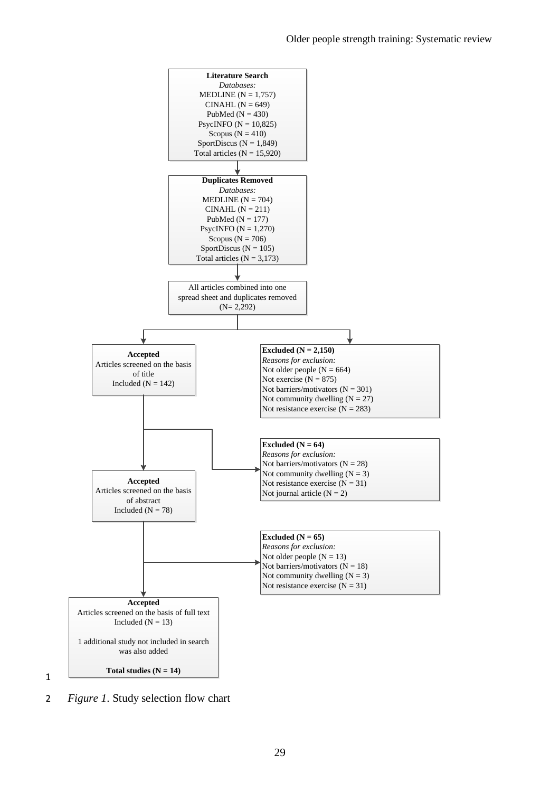

2 *Figure 1*. Study selection flow chart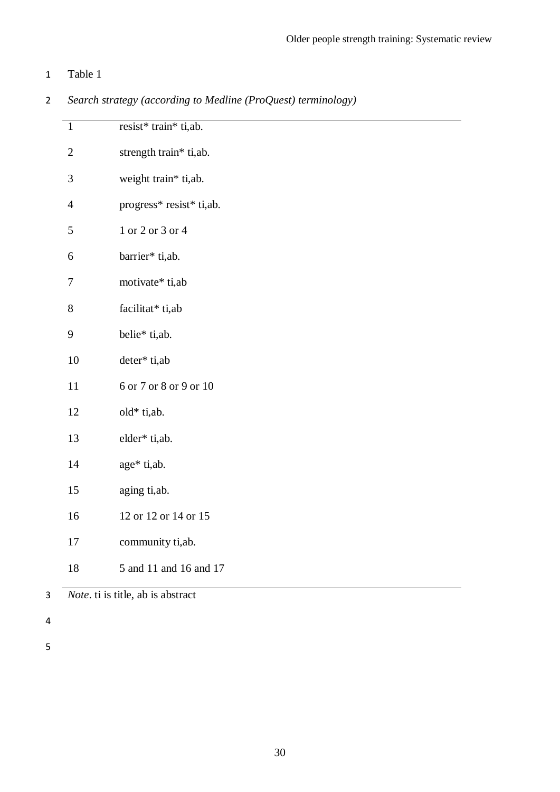### Table 1

| $\mathbf{1}$     | resist* train* ti,ab.    |
|------------------|--------------------------|
| $\mathbf{2}$     | strength train* ti,ab.   |
| $\mathfrak{Z}$   | weight train* ti,ab.     |
| $\overline{4}$   | progress* resist* ti,ab. |
| $\mathfrak s$    | 1 or 2 or 3 or 4         |
| 6                | barrier* ti,ab.          |
| $\boldsymbol{7}$ | motivate* ti,ab          |
| 8                | facilitat* ti,ab         |
| 9                | belie* ti,ab.            |
| 10               | deter* ti,ab             |
| 11               | 6 or 7 or 8 or 9 or 10   |
| 12               | old* ti,ab.              |
| 13               | elder* ti,ab.            |
| 14               | age* ti,ab.              |
| 15               | aging ti,ab.             |
| 16               | 12 or 12 or 14 or 15     |
|                  |                          |

*Search strategy (according to Medline (ProQuest) terminology)*

*Note*. ti is title, ab is abstract

community ti,ab.

5 and 11 and 16 and 17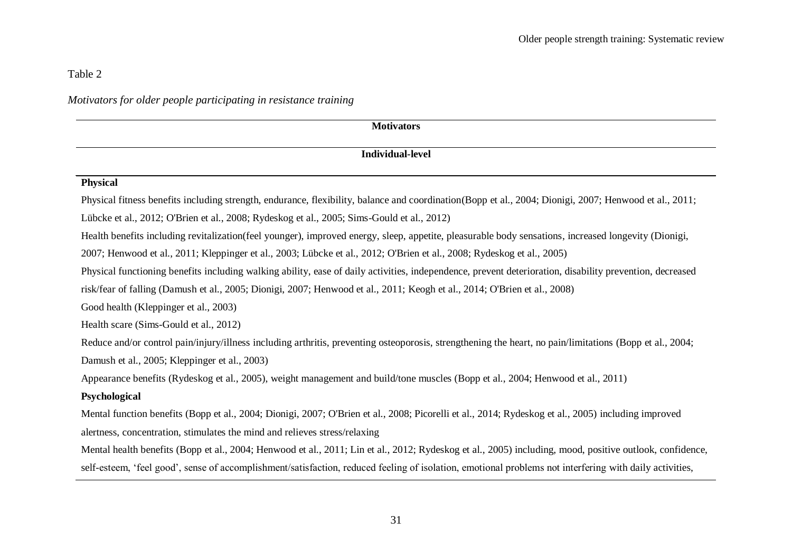# Table 2

## *Motivators for older people participating in resistance training*

| <b>Motivators</b>                                                                                                                                        |
|----------------------------------------------------------------------------------------------------------------------------------------------------------|
| <b>Individual-level</b>                                                                                                                                  |
| <b>Physical</b>                                                                                                                                          |
| Physical fitness benefits including strength, endurance, flexibility, balance and coordination (Bopp et al., 2004; Dionigi, 2007; Henwood et al., 2011;  |
| Lübcke et al., 2012; O'Brien et al., 2008; Rydeskog et al., 2005; Sims-Gould et al., 2012)                                                               |
| Health benefits including revitalization(feel younger), improved energy, sleep, appetite, pleasurable body sensations, increased longevity (Dionigi,     |
| 2007; Henwood et al., 2011; Kleppinger et al., 2003; Lübcke et al., 2012; O'Brien et al., 2008; Rydeskog et al., 2005)                                   |
| Physical functioning benefits including walking ability, ease of daily activities, independence, prevent deterioration, disability prevention, decreased |
| risk/fear of falling (Damush et al., 2005; Dionigi, 2007; Henwood et al., 2011; Keogh et al., 2014; O'Brien et al., 2008)                                |
| Good health (Kleppinger et al., 2003)                                                                                                                    |
| Health scare (Sims-Gould et al., 2012)                                                                                                                   |
| Reduce and/or control pain/injury/illness including arthritis, preventing osteoporosis, strengthening the heart, no pain/limitations (Bopp et al., 2004; |
| Damush et al., 2005; Kleppinger et al., 2003)                                                                                                            |
| Appearance benefits (Rydeskog et al., 2005), weight management and build/tone muscles (Bopp et al., 2004; Henwood et al., 2011)                          |
| Psychological                                                                                                                                            |
| Mental function benefits (Bopp et al., 2004; Dionigi, 2007; O'Brien et al., 2008; Picorelli et al., 2014; Rydeskog et al., 2005) including improved      |
| alertness, concentration, stimulates the mind and relieves stress/relaxing                                                                               |
| Mental health benefits (Bopp et al., 2004; Henwood et al., 2011; Lin et al., 2012; Rydeskog et al., 2005) including, mood, positive outlook, confidence, |
| self-esteem, 'feel good', sense of accomplishment/satisfaction, reduced feeling of isolation, emotional problems not interfering with daily activities,  |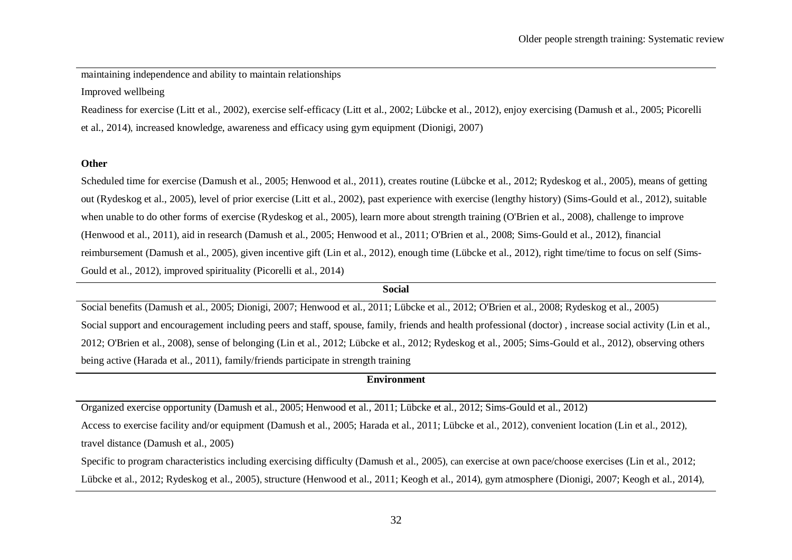maintaining independence and ability to maintain relationships

Improved wellbeing

Readiness for exercise (Litt et al., 2002), exercise self-efficacy (Litt et al., 2002; Lübcke et al., 2012), enjoy exercising (Damush et al., 2005; Picorelli et al., 2014), increased knowledge, awareness and efficacy using gym equipment (Dionigi, 2007)

#### **Other**

Scheduled time for exercise (Damush et al., 2005; Henwood et al., 2011), creates routine (Lübcke et al., 2012; Rydeskog et al., 2005), means of getting out (Rydeskog et al., 2005), level of prior exercise (Litt et al., 2002), past experience with exercise (lengthy history) (Sims-Gould et al., 2012), suitable when unable to do other forms of exercise (Rydeskog et al., 2005), learn more about strength training (O'Brien et al., 2008), challenge to improve (Henwood et al., 2011), aid in research (Damush et al., 2005; Henwood et al., 2011; O'Brien et al., 2008; Sims-Gould et al., 2012), financial reimbursement (Damush et al., 2005), given incentive gift (Lin et al., 2012), enough time (Lübcke et al., 2012), right time/time to focus on self (Sims-Gould et al., 2012), improved spirituality (Picorelli et al., 2014)

# **Social** Social benefits (Damush et al., 2005; Dionigi, 2007; Henwood et al., 2011; Lübcke et al., 2012; O'Brien et al., 2008; Rydeskog et al., 2005) Social support and encouragement including peers and staff, spouse, family, friends and health professional (doctor) , increase social activity (Lin et al., 2012; O'Brien et al., 2008), sense of belonging (Lin et al., 2012; Lübcke et al., 2012; Rydeskog et al., 2005; Sims-Gould et al., 2012), observing others being active (Harada et al., 2011), family/friends participate in strength training

### **Environment**

Organized exercise opportunity (Damush et al., 2005; Henwood et al., 2011; Lübcke et al., 2012; Sims-Gould et al., 2012)

Access to exercise facility and/or equipment (Damush et al., 2005; Harada et al., 2011; Lübcke et al., 2012), convenient location (Lin et al., 2012), travel distance (Damush et al., 2005)

Specific to program characteristics including exercising difficulty (Damush et al., 2005), can exercise at own pace/choose exercises (Lin et al., 2012; Lübcke et al., 2012; Rydeskog et al., 2005), structure (Henwood et al., 2011; Keogh et al., 2014), gym atmosphere (Dionigi, 2007; Keogh et al., 2014),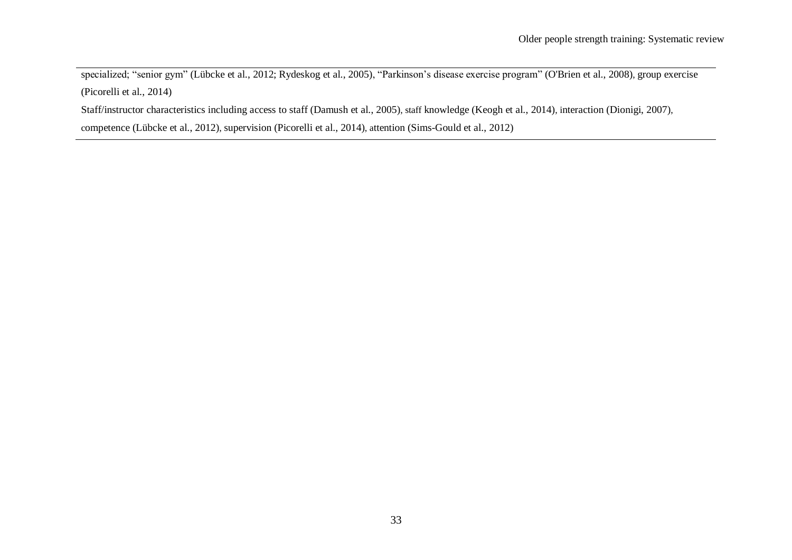specialized; "senior gym" (Lübcke et al., 2012; Rydeskog et al., 2005), "Parkinson's disease exercise program" (O'Brien et al., 2008), group exercise (Picorelli et al., 2014)

Staff/instructor characteristics including access to staff (Damush et al., 2005), staff knowledge (Keogh et al., 2014), interaction (Dionigi, 2007),

competence (Lübcke et al., 2012), supervision (Picorelli et al., 2014), attention (Sims-Gould et al., 2012)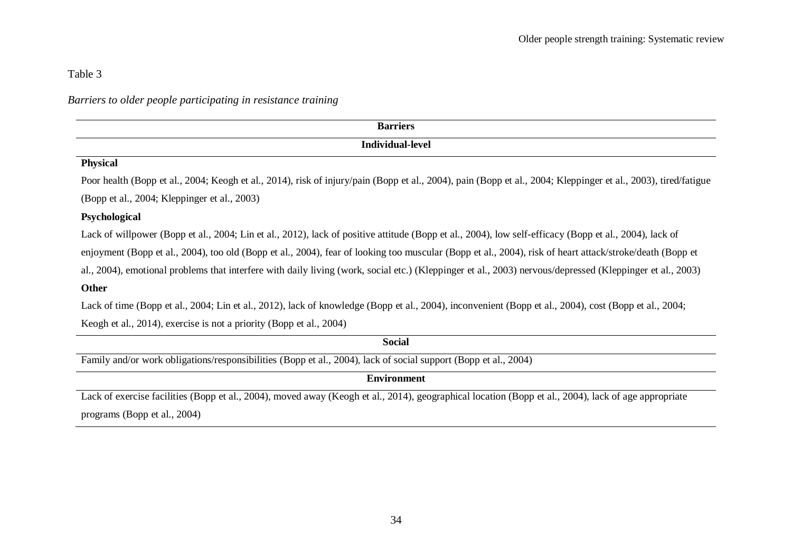Table 3

### *Barriers to older people participating in resistance training*

| <b>Barriers</b>                                                                                                                                                |
|----------------------------------------------------------------------------------------------------------------------------------------------------------------|
| Individual-level                                                                                                                                               |
| <b>Physical</b>                                                                                                                                                |
| Poor health (Bopp et al., 2004; Keogh et al., 2014), risk of injury/pain (Bopp et al., 2004), pain (Bopp et al., 2004; Kleppinger et al., 2003), tired/fatigue |
| (Bopp et al., 2004; Kleppinger et al., 2003)                                                                                                                   |
| Psychological                                                                                                                                                  |
| Lack of willpower (Bopp et al., 2004; Lin et al., 2012), lack of positive attitude (Bopp et al., 2004), low self-efficacy (Bopp et al., 2004), lack of         |

enjoyment (Bopp et al., 2004), too old (Bopp et al., 2004), fear of looking too muscular (Bopp et al., 2004), risk of heart attack/stroke/death (Bopp et

al., 2004), emotional problems that interfere with daily living (work, social etc.) (Kleppinger et al., 2003) nervous/depressed (Kleppinger et al., 2003)

### **Other**

Lack of time (Bopp et al., 2004; Lin et al., 2012), lack of knowledge (Bopp et al., 2004), inconvenient (Bopp et al., 2004), cost (Bopp et al., 2004;

Keogh et al., 2014), exercise is not a priority (Bopp et al., 2004)

| <b>Social</b>                                                                                                   |
|-----------------------------------------------------------------------------------------------------------------|
| Family and/or work obligations/responsibilities (Bopp et al., 2004), lack of social support (Bopp et al., 2004) |
| <b>Environment</b>                                                                                              |

Lack of exercise facilities (Bopp et al., 2004), moved away (Keogh et al., 2014), geographical location (Bopp et al., 2004), lack of age appropriate programs (Bopp et al., 2004)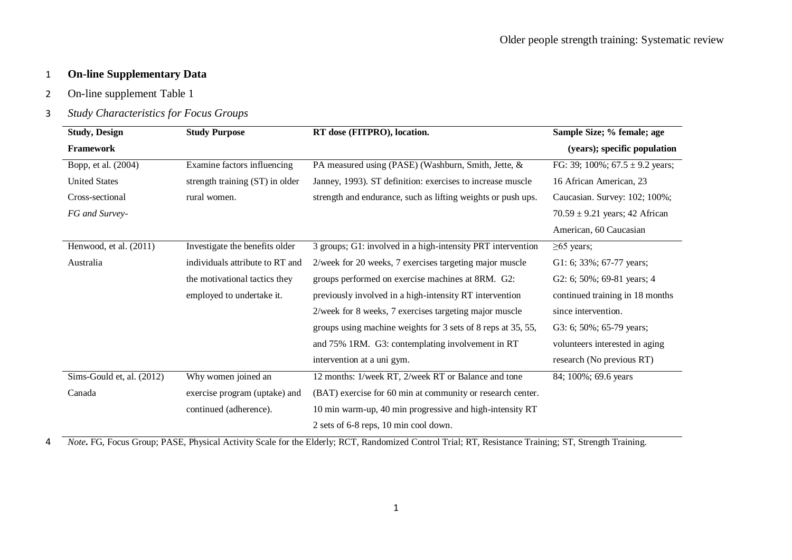### 1 **On-line Supplementary Data**

2 On-line supplement Table 1

### 3 *Study Characteristics for Focus Groups*

| <b>Study, Design</b>      | <b>Study Purpose</b>            | RT dose (FITPRO), location.                                  | Sample Size; % female; age          |
|---------------------------|---------------------------------|--------------------------------------------------------------|-------------------------------------|
| <b>Framework</b>          |                                 |                                                              | (years); specific population        |
| Bopp, et al. (2004)       | Examine factors influencing     | PA measured using (PASE) (Washburn, Smith, Jette, &          | FG: 39; 100%; $67.5 \pm 9.2$ years; |
| <b>United States</b>      | strength training (ST) in older | Janney, 1993). ST definition: exercises to increase muscle   | 16 African American, 23             |
| Cross-sectional           | rural women.                    | strength and endurance, such as lifting weights or push ups. | Caucasian. Survey: 102; 100%;       |
| FG and Survey-            |                                 |                                                              | $70.59 \pm 9.21$ years; 42 African  |
|                           |                                 |                                                              | American, 60 Caucasian              |
| Henwood, et al. (2011)    | Investigate the benefits older  | 3 groups; G1: involved in a high-intensity PRT intervention  | $\geq 65$ years;                    |
| Australia                 | individuals attribute to RT and | 2/week for 20 weeks, 7 exercises targeting major muscle      | G1: 6; 33%; 67-77 years;            |
|                           | the motivational tactics they   | groups performed on exercise machines at 8RM. G2:            | G2: 6; $50\%$ ; 69-81 years; 4      |
|                           | employed to undertake it.       | previously involved in a high-intensity RT intervention      | continued training in 18 months     |
|                           |                                 | 2/week for 8 weeks, 7 exercises targeting major muscle       | since intervention.                 |
|                           |                                 | groups using machine weights for 3 sets of 8 reps at 35, 55, | G3: 6; $50\%$ ; 65-79 years;        |
|                           |                                 | and 75% 1RM. G3: contemplating involvement in RT             | volunteers interested in aging      |
|                           |                                 | intervention at a uni gym.                                   | research (No previous RT)           |
| Sims-Gould et, al. (2012) | Why women joined an             | 12 months: 1/week RT, 2/week RT or Balance and tone          | 84; 100%; 69.6 years                |
| Canada                    | exercise program (uptake) and   | (BAT) exercise for 60 min at community or research center.   |                                     |
|                           | continued (adherence).          | 10 min warm-up, 40 min progressive and high-intensity RT     |                                     |
|                           |                                 | 2 sets of 6-8 reps, 10 min cool down.                        |                                     |

4 *Note***.** FG, Focus Group; PASE, Physical Activity Scale for the Elderly; RCT, Randomized Control Trial; RT, Resistance Training; ST, Strength Training.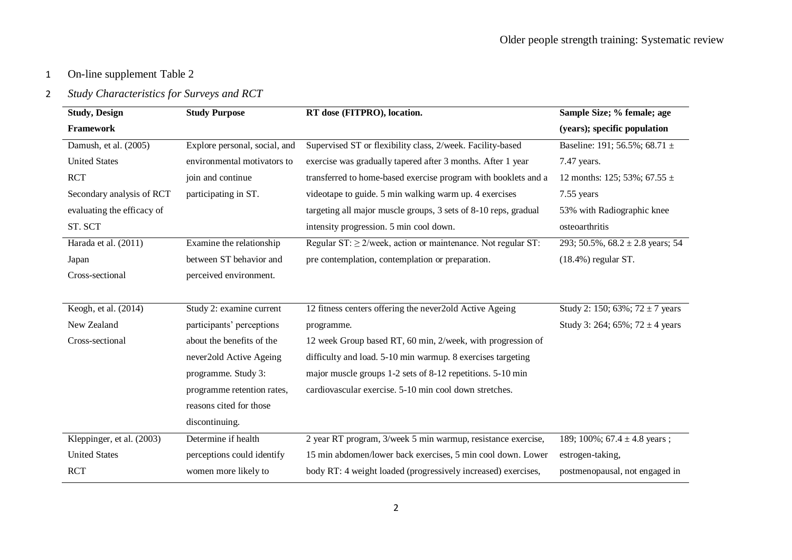# 2 *Study Characteristics for Surveys and RCT*

| <b>Study, Design</b>       | <b>Study Purpose</b>          | RT dose (FITPRO), location.                                       | Sample Size; % female; age           |  |  |  |
|----------------------------|-------------------------------|-------------------------------------------------------------------|--------------------------------------|--|--|--|
| Framework                  |                               |                                                                   | (years); specific population         |  |  |  |
| Damush, et al. (2005)      | Explore personal, social, and | Supervised ST or flexibility class, 2/week. Facility-based        | Baseline: 191; 56.5%; 68.71 ±        |  |  |  |
| <b>United States</b>       | environmental motivators to   | exercise was gradually tapered after 3 months. After 1 year       | 7.47 years.                          |  |  |  |
| <b>RCT</b>                 | join and continue             | transferred to home-based exercise program with booklets and a    | 12 months: 125; 53%; 67.55 $\pm$     |  |  |  |
| Secondary analysis of RCT  | participating in ST.          | videotape to guide. 5 min walking warm up. 4 exercises            | 7.55 years                           |  |  |  |
| evaluating the efficacy of |                               | targeting all major muscle groups, 3 sets of 8-10 reps, gradual   | 53% with Radiographic knee           |  |  |  |
| ST. SCT                    |                               | intensity progression. 5 min cool down.                           | osteoarthritis                       |  |  |  |
| Harada et al. (2011)       | Examine the relationship      | Regular ST: $\geq$ 2/week, action or maintenance. Not regular ST: | 293; 50.5%, $68.2 \pm 2.8$ years; 54 |  |  |  |
| Japan                      | between ST behavior and       | pre contemplation, contemplation or preparation.                  | $(18.4\%)$ regular ST.               |  |  |  |
| Cross-sectional            | perceived environment.        |                                                                   |                                      |  |  |  |
|                            |                               |                                                                   |                                      |  |  |  |
| Keogh, et al. (2014)       | Study 2: examine current      | 12 fitness centers offering the never2old Active Ageing           | Study 2: 150; 63%; 72 $\pm$ 7 years  |  |  |  |
| New Zealand                | participants' perceptions     | programme.                                                        | Study 3: 264; 65%; 72 $\pm$ 4 years  |  |  |  |
| Cross-sectional            | about the benefits of the     | 12 week Group based RT, 60 min, 2/week, with progression of       |                                      |  |  |  |
|                            | never2old Active Ageing       | difficulty and load. 5-10 min warmup. 8 exercises targeting       |                                      |  |  |  |
|                            | programme. Study 3:           | major muscle groups 1-2 sets of 8-12 repetitions. 5-10 min        |                                      |  |  |  |
|                            | programme retention rates,    | cardiovascular exercise. 5-10 min cool down stretches.            |                                      |  |  |  |
|                            | reasons cited for those       |                                                                   |                                      |  |  |  |
|                            | discontinuing.                |                                                                   |                                      |  |  |  |
| Kleppinger, et al. (2003)  | Determine if health           | 2 year RT program, 3/week 5 min warmup, resistance exercise,      | 189; 100%; 67.4 $\pm$ 4.8 years;     |  |  |  |
| <b>United States</b>       | perceptions could identify    | 15 min abdomen/lower back exercises, 5 min cool down. Lower       | estrogen-taking,                     |  |  |  |
| <b>RCT</b>                 | women more likely to          | body RT: 4 weight loaded (progressively increased) exercises,     | postmenopausal, not engaged in       |  |  |  |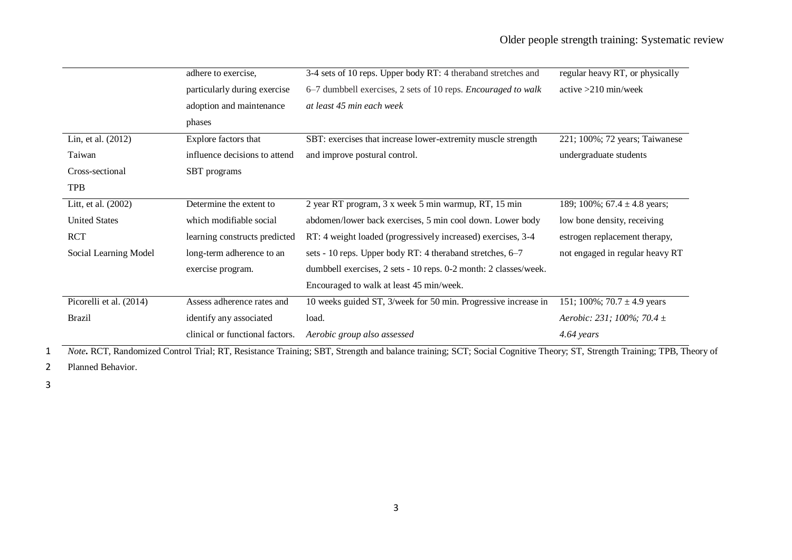|                         | adhere to exercise,             | 3-4 sets of 10 reps. Upper body RT: 4 theraband stretches and    | regular heavy RT, or physically  |
|-------------------------|---------------------------------|------------------------------------------------------------------|----------------------------------|
|                         | particularly during exercise    | 6–7 dumbbell exercises, 2 sets of 10 reps. Encouraged to walk    | $active > 210$ min/week          |
|                         | adoption and maintenance        | at least 45 min each week                                        |                                  |
|                         | phases                          |                                                                  |                                  |
| Lin, et al. (2012)      | Explore factors that            | SBT: exercises that increase lower-extremity muscle strength     | 221; 100%; 72 years; Taiwanese   |
| Taiwan                  | influence decisions to attend   | and improve postural control.                                    | undergraduate students           |
| Cross-sectional         | SBT programs                    |                                                                  |                                  |
| <b>TPB</b>              |                                 |                                                                  |                                  |
| Litt, et al. (2002)     | Determine the extent to         | 2 year RT program, 3 x week 5 min warmup, RT, 15 min             | 189; 100%; 67.4 $\pm$ 4.8 years; |
| <b>United States</b>    | which modifiable social         | abdomen/lower back exercises, 5 min cool down. Lower body        | low bone density, receiving      |
| <b>RCT</b>              | learning constructs predicted   | RT: 4 weight loaded (progressively increased) exercises, 3-4     | estrogen replacement therapy,    |
| Social Learning Model   | long-term adherence to an       | sets - 10 reps. Upper body RT: 4 theraband stretches, 6–7        | not engaged in regular heavy RT  |
|                         | exercise program.               | dumbbell exercises, 2 sets - 10 reps. 0-2 month: 2 classes/week. |                                  |
|                         |                                 | Encouraged to walk at least 45 min/week.                         |                                  |
| Picorelli et al. (2014) | Assess adherence rates and      | 10 weeks guided ST, 3/week for 50 min. Progressive increase in   | 151; 100%; 70.7 $\pm$ 4.9 years  |
| <b>Brazil</b>           | identify any associated         | load.                                                            | Aerobic: 231; 100%; 70.4 $\pm$   |
|                         | clinical or functional factors. | Aerobic group also assessed                                      | 4.64 years                       |

*Note***.** RCT, Randomized Control Trial; RT, Resistance Training; SBT, Strength and balance training; SCT; Social Cognitive Theory; ST, Strength Training; TPB, Theory of

2 Planned Behavior.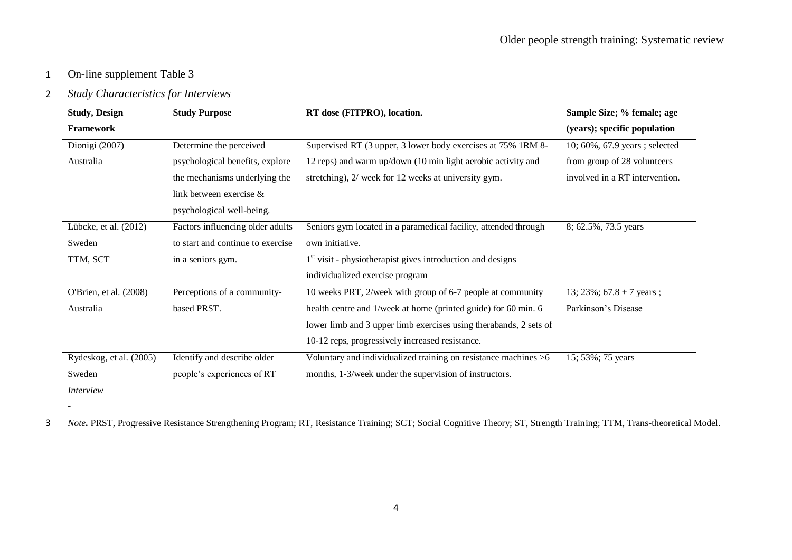### 2 *Study Characteristics for Interviews*

| <b>Study, Design</b>    | <b>Study Purpose</b>              | RT dose (FITPRO), location.                                       | Sample Size; % female; age     |
|-------------------------|-----------------------------------|-------------------------------------------------------------------|--------------------------------|
| Framework               |                                   |                                                                   | (years); specific population   |
| Dionigi (2007)          | Determine the perceived           | Supervised RT (3 upper, 3 lower body exercises at 75% 1RM 8-      | 10; 60%, 67.9 years; selected  |
| Australia               | psychological benefits, explore   | 12 reps) and warm up/down (10 min light aerobic activity and      | from group of 28 volunteers    |
|                         | the mechanisms underlying the     | stretching), 2/ week for 12 weeks at university gym.              | involved in a RT intervention. |
|                         | link between exercise &           |                                                                   |                                |
|                         | psychological well-being.         |                                                                   |                                |
| Lübcke, et al. (2012)   | Factors influencing older adults  | Seniors gym located in a paramedical facility, attended through   | 8; 62.5%, 73.5 years           |
| Sweden                  | to start and continue to exercise | own initiative.                                                   |                                |
| TTM, SCT                | in a seniors gym.                 | $1st$ visit - physiotherapist gives introduction and designs      |                                |
|                         |                                   | individualized exercise program                                   |                                |
| O'Brien, et al. (2008)  | Perceptions of a community-       | 10 weeks PRT, 2/week with group of 6-7 people at community        | 13; 23%; $67.8 \pm 7$ years;   |
| Australia               | based PRST.                       | health centre and 1/week at home (printed guide) for 60 min. 6    | Parkinson's Disease            |
|                         |                                   | lower limb and 3 upper limb exercises using therabands, 2 sets of |                                |
|                         |                                   | 10-12 reps, progressively increased resistance.                   |                                |
| Rydeskog, et al. (2005) | Identify and describe older       | Voluntary and individualized training on resistance machines >6   | 15; 53%; 75 years              |
| Sweden                  | people's experiences of RT        | months, 1-3/week under the supervision of instructors.            |                                |
| Interview               |                                   |                                                                   |                                |
|                         |                                   |                                                                   |                                |

3 *Note***.** PRST, Progressive Resistance Strengthening Program; RT, Resistance Training; SCT; Social Cognitive Theory; ST, Strength Training; TTM, Trans-theoretical Model.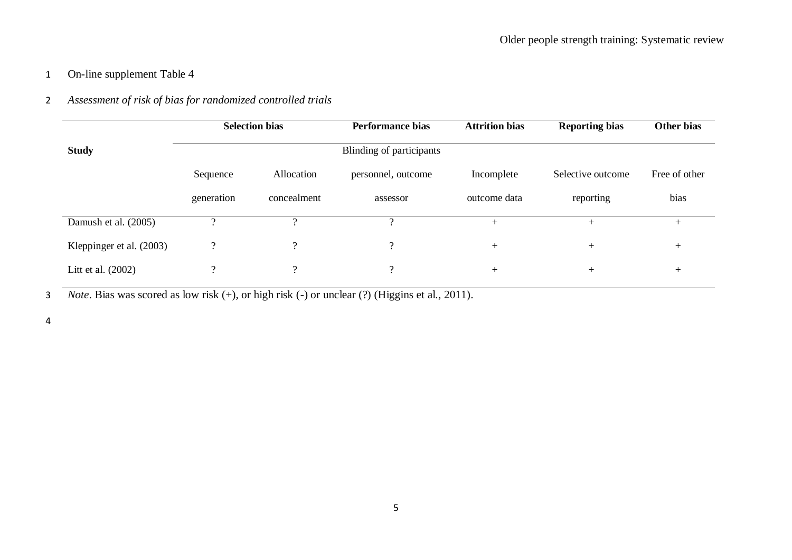# 2 *Assessment of risk of bias for randomized controlled trials*

|                          |            | <b>Selection bias</b> | <b>Performance bias</b>  | <b>Attrition bias</b> | <b>Reporting bias</b> | Other bias    |  |
|--------------------------|------------|-----------------------|--------------------------|-----------------------|-----------------------|---------------|--|
| <b>Study</b>             |            |                       | Blinding of participants |                       |                       |               |  |
|                          | Sequence   | Allocation            | personnel, outcome       | Incomplete            | Selective outcome     | Free of other |  |
|                          | generation | concealment           | assessor                 | outcome data          | reporting             | bias          |  |
| Damush et al. (2005)     | $\Omega$   |                       | $\Omega$                 | $+$                   | $^{+}$                | $^{+}$        |  |
| Kleppinger et al. (2003) | $\gamma$   | $\gamma$              |                          | $^{+}$                | $^{+}$                | $+$           |  |
| Litt et al. (2002)       | $\Omega$   | $\gamma$              | $\gamma$                 | $+$                   | $^{+}$                | $^{+}$        |  |

3 *Note*. Bias was scored as low risk (+), or high risk (-) or unclear (?) (Higgins et al., 2011).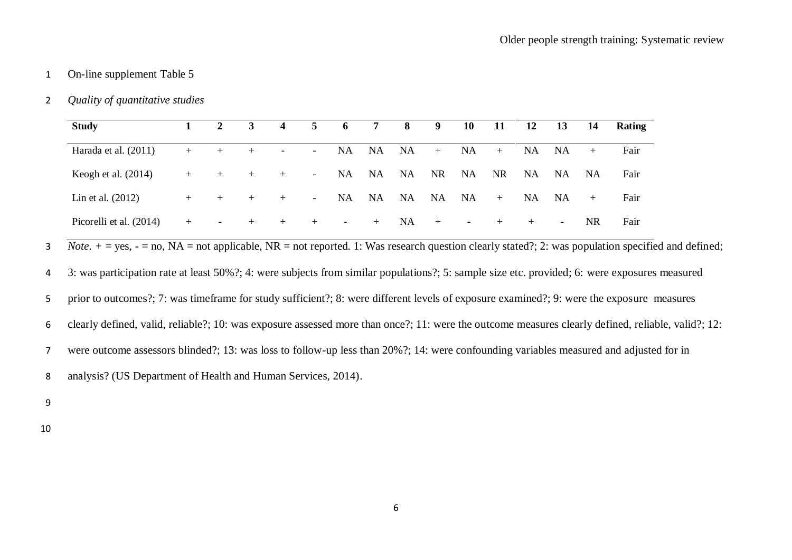### 2 *Quality of quantitative studies*

| <b>Study</b>            |     | $\mathbf{2}$ |     | $\overline{\mathbf{4}}$  | 5      | 6         | -7        | 8         | 9         | 10                       | 11        | 12        | <b>13</b> | 14        | Rating |
|-------------------------|-----|--------------|-----|--------------------------|--------|-----------|-----------|-----------|-----------|--------------------------|-----------|-----------|-----------|-----------|--------|
| Harada et al. (2011)    | $+$ | $+$          | $+$ | $\overline{\phantom{0}}$ | $\sim$ | <b>NA</b> | <b>NA</b> | <b>NA</b> | $+$       | NA                       | $+$       | <b>NA</b> | <b>NA</b> | $+$       | Fair   |
| Keogh et al. $(2014)$   | $+$ | $+$          | $+$ | $+$                      | $\sim$ | <b>NA</b> | <b>NA</b> | <b>NA</b> | <b>NR</b> | <b>NA</b>                | <b>NR</b> | <b>NA</b> | <b>NA</b> | <b>NA</b> | Fair   |
| Lin et al. $(2012)$     | $+$ | $+$          | $+$ | $+$                      | $\sim$ | <b>NA</b> | <b>NA</b> | <b>NA</b> | <b>NA</b> | <b>NA</b>                | $+$       | NA.       | NA.       | $+$       | Fair   |
| Picorelli et al. (2014) | $+$ | -            | $+$ | $+$                      | $+$    | $\sim$    | $+$       | <b>NA</b> | $+$       | $\overline{\phantom{a}}$ | $+$       | $+$       | $\sim$    | NR.       | Fair   |

3 *Note*.  $+$  = yes, - = no, NA = not applicable, NR = not reported. 1: Was research question clearly stated?; 2: was population specified and defined;

4 3: was participation rate at least 50%?; 4: were subjects from similar populations?; 5: sample size etc. provided; 6: were exposures measured

5 prior to outcomes?; 7: was timeframe for study sufficient?; 8: were different levels of exposure examined?; 9: were the exposure measures

6 clearly defined, valid, reliable?; 10: was exposure assessed more than once?; 11: were the outcome measures clearly defined, reliable, valid?; 12:

7 were outcome assessors blinded?; 13: was loss to follow-up less than 20%?; 14: were confounding variables measured and adjusted for in

8 analysis? (US Department of Health and Human Services, 2014).

9